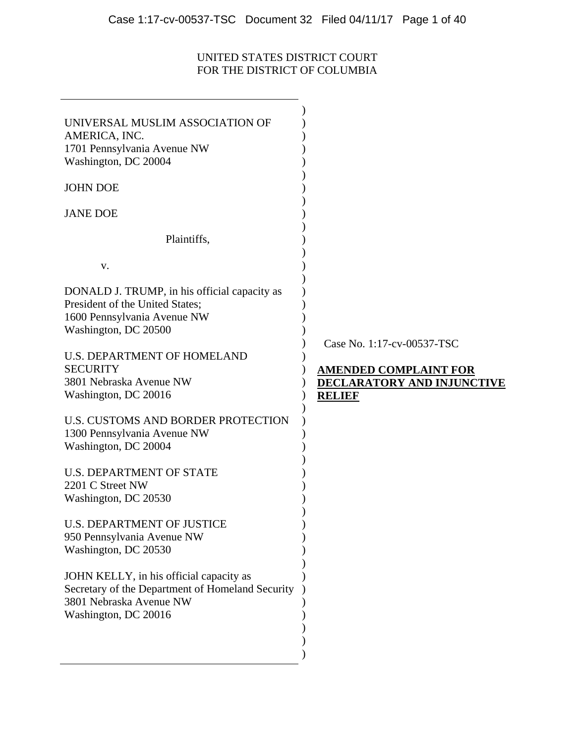# UNITED STATES DISTRICT COURT FOR THE DISTRICT OF COLUMBIA

| UNIVERSAL MUSLIM ASSOCIATION OF<br>AMERICA, INC.<br>1701 Pennsylvania Avenue NW<br>Washington, DC 20004<br><b>JOHN DOE</b><br><b>JANE DOE</b>  |                                                                                    |
|------------------------------------------------------------------------------------------------------------------------------------------------|------------------------------------------------------------------------------------|
| Plaintiffs,                                                                                                                                    |                                                                                    |
| V.                                                                                                                                             |                                                                                    |
| DONALD J. TRUMP, in his official capacity as<br>President of the United States;<br>1600 Pennsylvania Avenue NW<br>Washington, DC 20500         | Case No. 1:17-cv-00537-TSC                                                         |
| <b>U.S. DEPARTMENT OF HOMELAND</b><br><b>SECURITY</b><br>3801 Nebraska Avenue NW<br>Washington, DC 20016                                       | <b>AMENDED COMPLAINT FOR</b><br><b>DECLARATORY AND INJUNCTIVE</b><br><b>RELIEF</b> |
| U.S. CUSTOMS AND BORDER PROTECTION<br>1300 Pennsylvania Avenue NW<br>Washington, DC 20004                                                      |                                                                                    |
| <b>U.S. DEPARTMENT OF STATE</b><br>2201 C Street NW<br>Washington, DC 20530                                                                    |                                                                                    |
| <b>U.S. DEPARTMENT OF JUSTICE</b><br>950 Pennsylvania Avenue NW<br>Washington, DC 20530                                                        |                                                                                    |
| JOHN KELLY, in his official capacity as<br>Secretary of the Department of Homeland Security<br>3801 Nebraska Avenue NW<br>Washington, DC 20016 |                                                                                    |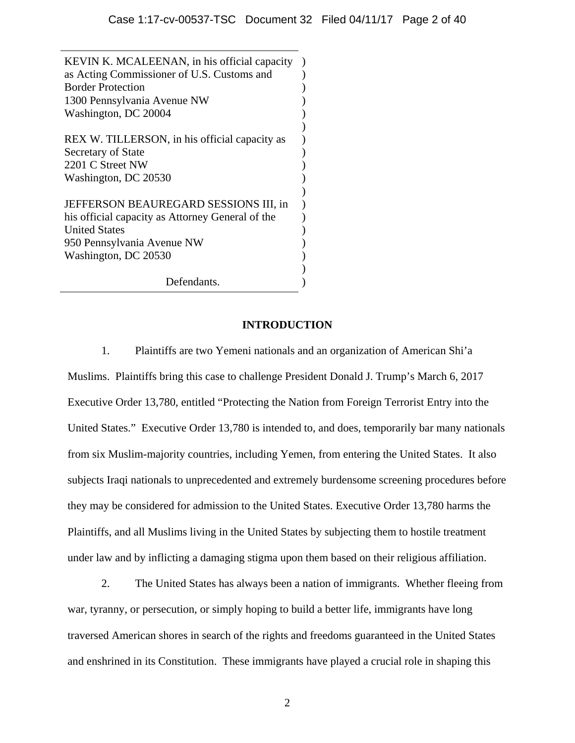) ) ) ) ) ) ) ) ) ) ) ) ) ) ) ) ) )

KEVIN K. MCALEENAN, in his official capacity as Acting Commissioner of U.S. Customs and Border Protection 1300 Pennsylvania Avenue NW Washington, DC 20004

REX W. TILLERSON, in his official capacity as Secretary of State 2201 C Street NW Washington, DC 20530

JEFFERSON BEAUREGARD SESSIONS III, in his official capacity as Attorney General of the United States 950 Pennsylvania Avenue NW Washington, DC 20530

Defendants.

### **INTRODUCTION**

1. Plaintiffs are two Yemeni nationals and an organization of American Shi'a Muslims. Plaintiffs bring this case to challenge President Donald J. Trump's March 6, 2017 Executive Order 13,780, entitled "Protecting the Nation from Foreign Terrorist Entry into the United States." Executive Order 13,780 is intended to, and does, temporarily bar many nationals from six Muslim-majority countries, including Yemen, from entering the United States. It also subjects Iraqi nationals to unprecedented and extremely burdensome screening procedures before they may be considered for admission to the United States. Executive Order 13,780 harms the Plaintiffs, and all Muslims living in the United States by subjecting them to hostile treatment under law and by inflicting a damaging stigma upon them based on their religious affiliation.

2. The United States has always been a nation of immigrants. Whether fleeing from war, tyranny, or persecution, or simply hoping to build a better life, immigrants have long traversed American shores in search of the rights and freedoms guaranteed in the United States and enshrined in its Constitution. These immigrants have played a crucial role in shaping this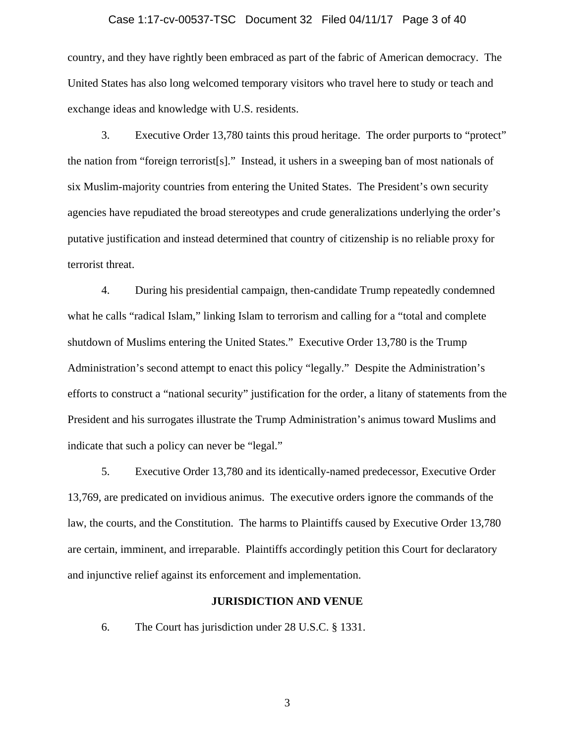#### Case 1:17-cv-00537-TSC Document 32 Filed 04/11/17 Page 3 of 40

country, and they have rightly been embraced as part of the fabric of American democracy. The United States has also long welcomed temporary visitors who travel here to study or teach and exchange ideas and knowledge with U.S. residents.

3. Executive Order 13,780 taints this proud heritage. The order purports to "protect" the nation from "foreign terrorist[s]." Instead, it ushers in a sweeping ban of most nationals of six Muslim-majority countries from entering the United States. The President's own security agencies have repudiated the broad stereotypes and crude generalizations underlying the order's putative justification and instead determined that country of citizenship is no reliable proxy for terrorist threat.

4. During his presidential campaign, then-candidate Trump repeatedly condemned what he calls "radical Islam," linking Islam to terrorism and calling for a "total and complete" shutdown of Muslims entering the United States." Executive Order 13,780 is the Trump Administration's second attempt to enact this policy "legally." Despite the Administration's efforts to construct a "national security" justification for the order, a litany of statements from the President and his surrogates illustrate the Trump Administration's animus toward Muslims and indicate that such a policy can never be "legal."

5. Executive Order 13,780 and its identically-named predecessor, Executive Order 13,769, are predicated on invidious animus. The executive orders ignore the commands of the law, the courts, and the Constitution. The harms to Plaintiffs caused by Executive Order 13,780 are certain, imminent, and irreparable. Plaintiffs accordingly petition this Court for declaratory and injunctive relief against its enforcement and implementation.

#### **JURISDICTION AND VENUE**

6. The Court has jurisdiction under 28 U.S.C. § 1331.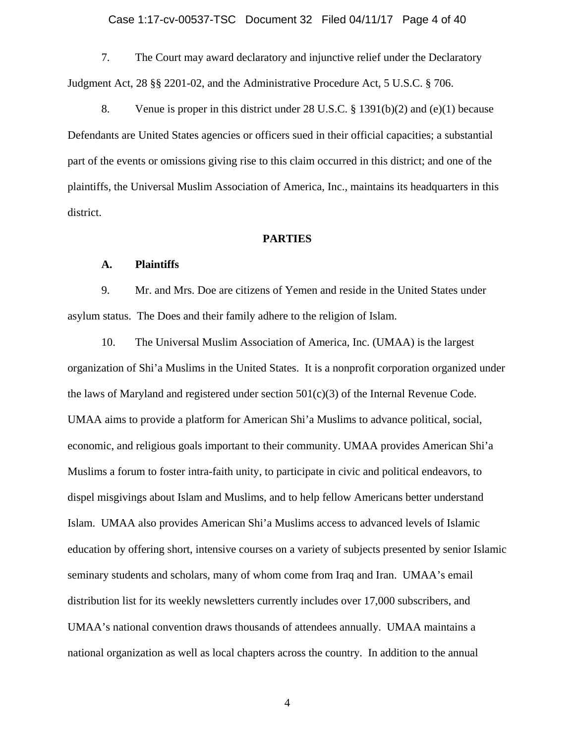7. The Court may award declaratory and injunctive relief under the Declaratory Judgment Act, 28 §§ 2201-02, and the Administrative Procedure Act, 5 U.S.C. § 706.

8. Venue is proper in this district under 28 U.S.C. § 1391(b)(2) and (e)(1) because Defendants are United States agencies or officers sued in their official capacities; a substantial part of the events or omissions giving rise to this claim occurred in this district; and one of the plaintiffs, the Universal Muslim Association of America, Inc., maintains its headquarters in this district.

### **PARTIES**

### **A. Plaintiffs**

9. Mr. and Mrs. Doe are citizens of Yemen and reside in the United States under asylum status. The Does and their family adhere to the religion of Islam.

10. The Universal Muslim Association of America, Inc. (UMAA) is the largest organization of Shi'a Muslims in the United States. It is a nonprofit corporation organized under the laws of Maryland and registered under section 501(c)(3) of the Internal Revenue Code. UMAA aims to provide a platform for American Shi'a Muslims to advance political, social, economic, and religious goals important to their community. UMAA provides American Shi'a Muslims a forum to foster intra-faith unity, to participate in civic and political endeavors, to dispel misgivings about Islam and Muslims, and to help fellow Americans better understand Islam. UMAA also provides American Shi'a Muslims access to advanced levels of Islamic education by offering short, intensive courses on a variety of subjects presented by senior Islamic seminary students and scholars, many of whom come from Iraq and Iran. UMAA's email distribution list for its weekly newsletters currently includes over 17,000 subscribers, and UMAA's national convention draws thousands of attendees annually. UMAA maintains a national organization as well as local chapters across the country. In addition to the annual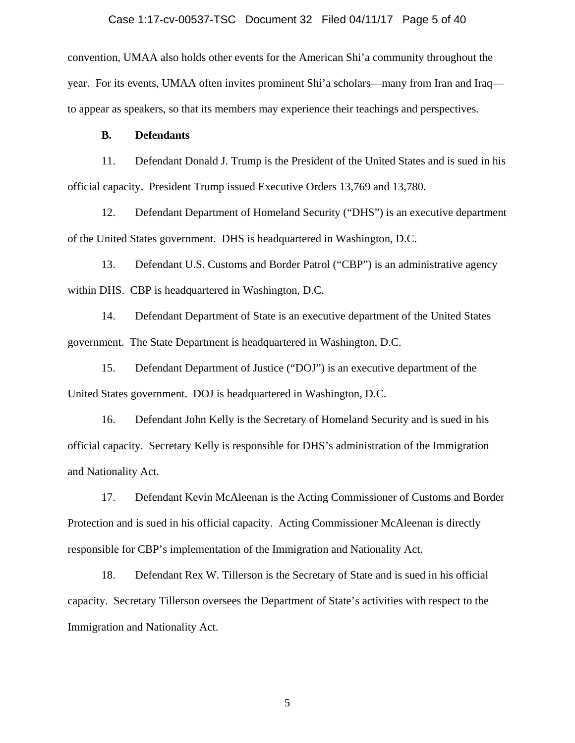#### Case 1:17-cv-00537-TSC Document 32 Filed 04/11/17 Page 5 of 40

convention, UMAA also holds other events for the American Shi'a community throughout the year. For its events, UMAA often invites prominent Shi'a scholars—many from Iran and Iraq to appear as speakers, so that its members may experience their teachings and perspectives.

#### **B. Defendants**

11. Defendant Donald J. Trump is the President of the United States and is sued in his official capacity. President Trump issued Executive Orders 13,769 and 13,780.

12. Defendant Department of Homeland Security ("DHS") is an executive department of the United States government. DHS is headquartered in Washington, D.C.

13. Defendant U.S. Customs and Border Patrol ("CBP") is an administrative agency within DHS. CBP is headquartered in Washington, D.C.

14. Defendant Department of State is an executive department of the United States government. The State Department is headquartered in Washington, D.C.

15. Defendant Department of Justice ("DOJ") is an executive department of the United States government. DOJ is headquartered in Washington, D.C.

16. Defendant John Kelly is the Secretary of Homeland Security and is sued in his official capacity. Secretary Kelly is responsible for DHS's administration of the Immigration and Nationality Act.

17. Defendant Kevin McAleenan is the Acting Commissioner of Customs and Border Protection and is sued in his official capacity. Acting Commissioner McAleenan is directly responsible for CBP's implementation of the Immigration and Nationality Act.

18. Defendant Rex W. Tillerson is the Secretary of State and is sued in his official capacity. Secretary Tillerson oversees the Department of State's activities with respect to the Immigration and Nationality Act.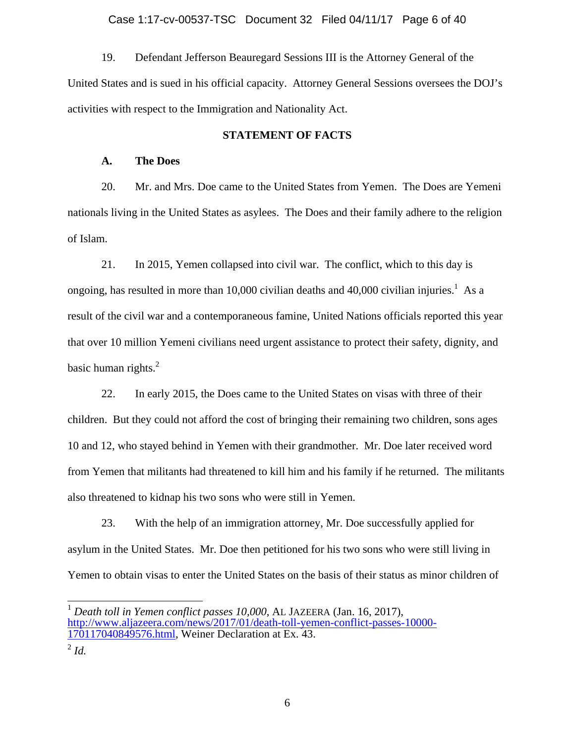#### Case 1:17-cv-00537-TSC Document 32 Filed 04/11/17 Page 6 of 40

19. Defendant Jefferson Beauregard Sessions III is the Attorney General of the United States and is sued in his official capacity. Attorney General Sessions oversees the DOJ's activities with respect to the Immigration and Nationality Act.

#### **STATEMENT OF FACTS**

### **A. The Does**

20. Mr. and Mrs. Doe came to the United States from Yemen. The Does are Yemeni nationals living in the United States as asylees. The Does and their family adhere to the religion of Islam.

21. In 2015, Yemen collapsed into civil war. The conflict, which to this day is ongoing, has resulted in more than 10,000 civilian deaths and 40,000 civilian injuries.<sup>1</sup> As a result of the civil war and a contemporaneous famine, United Nations officials reported this year that over 10 million Yemeni civilians need urgent assistance to protect their safety, dignity, and basic human rights. $<sup>2</sup>$ </sup>

22. In early 2015, the Does came to the United States on visas with three of their children. But they could not afford the cost of bringing their remaining two children, sons ages 10 and 12, who stayed behind in Yemen with their grandmother. Mr. Doe later received word from Yemen that militants had threatened to kill him and his family if he returned. The militants also threatened to kidnap his two sons who were still in Yemen.

23. With the help of an immigration attorney, Mr. Doe successfully applied for asylum in the United States. Mr. Doe then petitioned for his two sons who were still living in Yemen to obtain visas to enter the United States on the basis of their status as minor children of

<sup>1</sup> *Death toll in Yemen conflict passes 10,000*, AL JAZEERA (Jan. 16, 2017), http://www.aljazeera.com/news/2017/01/death-toll-yemen-conflict-passes-10000- 170117040849576.html, Weiner Declaration at Ex. 43.

<sup>2</sup> *Id.*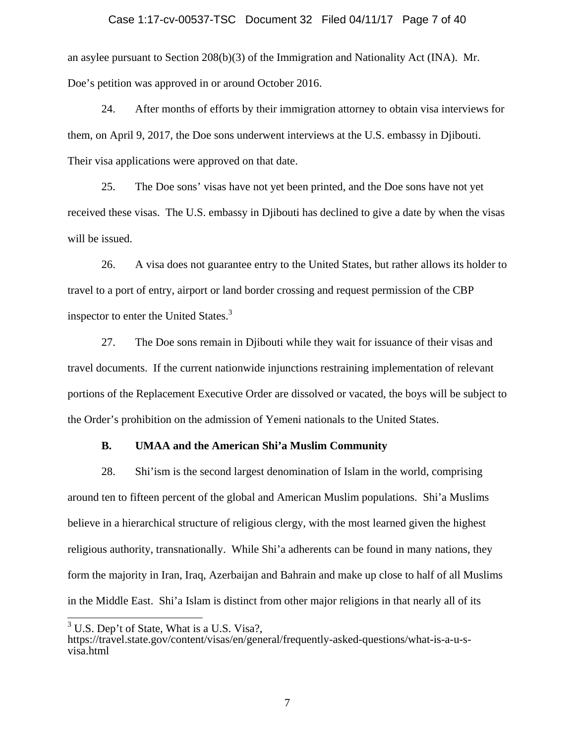#### Case 1:17-cv-00537-TSC Document 32 Filed 04/11/17 Page 7 of 40

an asylee pursuant to Section 208(b)(3) of the Immigration and Nationality Act (INA). Mr. Doe's petition was approved in or around October 2016.

24. After months of efforts by their immigration attorney to obtain visa interviews for them, on April 9, 2017, the Doe sons underwent interviews at the U.S. embassy in Djibouti. Their visa applications were approved on that date.

25. The Doe sons' visas have not yet been printed, and the Doe sons have not yet received these visas. The U.S. embassy in Djibouti has declined to give a date by when the visas will be issued.

26. A visa does not guarantee entry to the United States, but rather allows its holder to travel to a port of entry, airport or land border crossing and request permission of the CBP inspector to enter the United States.<sup>3</sup>

27. The Doe sons remain in Djibouti while they wait for issuance of their visas and travel documents. If the current nationwide injunctions restraining implementation of relevant portions of the Replacement Executive Order are dissolved or vacated, the boys will be subject to the Order's prohibition on the admission of Yemeni nationals to the United States.

### **B. UMAA and the American Shi'a Muslim Community**

28. Shi'ism is the second largest denomination of Islam in the world, comprising around ten to fifteen percent of the global and American Muslim populations. Shi'a Muslims believe in a hierarchical structure of religious clergy, with the most learned given the highest religious authority, transnationally. While Shi'a adherents can be found in many nations, they form the majority in Iran, Iraq, Azerbaijan and Bahrain and make up close to half of all Muslims in the Middle East. Shi'a Islam is distinct from other major religions in that nearly all of its

 $\overline{\phantom{a}}$ 

 $3$  U.S. Dep't of State, What is a U.S. Visa?,

https://travel.state.gov/content/visas/en/general/frequently-asked-questions/what-is-a-u-svisa.html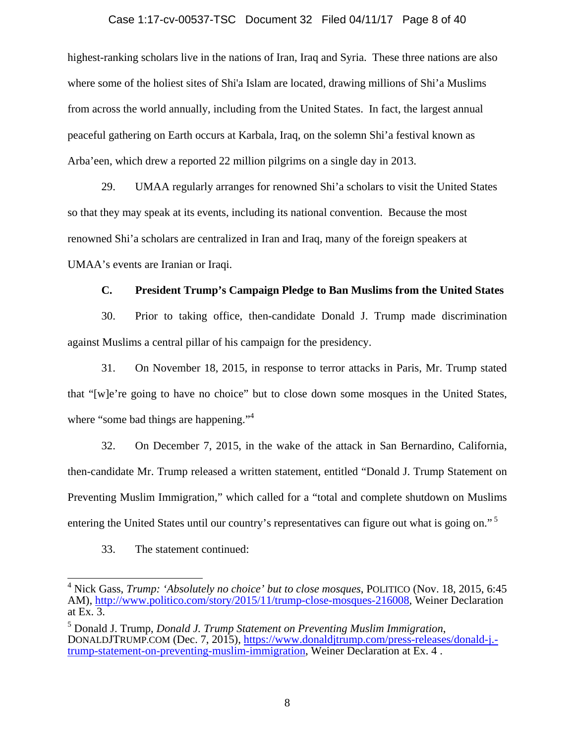#### Case 1:17-cv-00537-TSC Document 32 Filed 04/11/17 Page 8 of 40

highest-ranking scholars live in the nations of Iran, Iraq and Syria. These three nations are also where some of the holiest sites of Shi'a Islam are located, drawing millions of Shi'a Muslims from across the world annually, including from the United States. In fact, the largest annual peaceful gathering on Earth occurs at Karbala, Iraq, on the solemn Shi'a festival known as Arba'een, which drew a reported 22 million pilgrims on a single day in 2013.

29. UMAA regularly arranges for renowned Shi'a scholars to visit the United States so that they may speak at its events, including its national convention. Because the most renowned Shi'a scholars are centralized in Iran and Iraq, many of the foreign speakers at UMAA's events are Iranian or Iraqi.

#### **C. President Trump's Campaign Pledge to Ban Muslims from the United States**

30. Prior to taking office, then-candidate Donald J. Trump made discrimination against Muslims a central pillar of his campaign for the presidency.

31. On November 18, 2015, in response to terror attacks in Paris, Mr. Trump stated that "[w]e're going to have no choice" but to close down some mosques in the United States, where "some bad things are happening."<sup>4</sup>

32. On December 7, 2015, in the wake of the attack in San Bernardino, California, then-candidate Mr. Trump released a written statement, entitled "Donald J. Trump Statement on Preventing Muslim Immigration," which called for a "total and complete shutdown on Muslims entering the United States until our country's representatives can figure out what is going on."<sup>5</sup>

#### 33. The statement continued:

 4 Nick Gass, *Trump: 'Absolutely no choice' but to close mosques*, POLITICO (Nov. 18, 2015, 6:45 AM), http://www.politico.com/story/2015/11/trump-close-mosques-216008, Weiner Declaration at Ex. 3.

 $<sup>5</sup>$  Donald J. Trump, *Donald J. Trump Statement on Preventing Muslim Immigration*,</sup> DONALDJTRUMP.COM (Dec. 7, 2015), https://www.donaldjtrump.com/press-releases/donald-j.trump-statement-on-preventing-muslim-immigration, Weiner Declaration at Ex. 4 .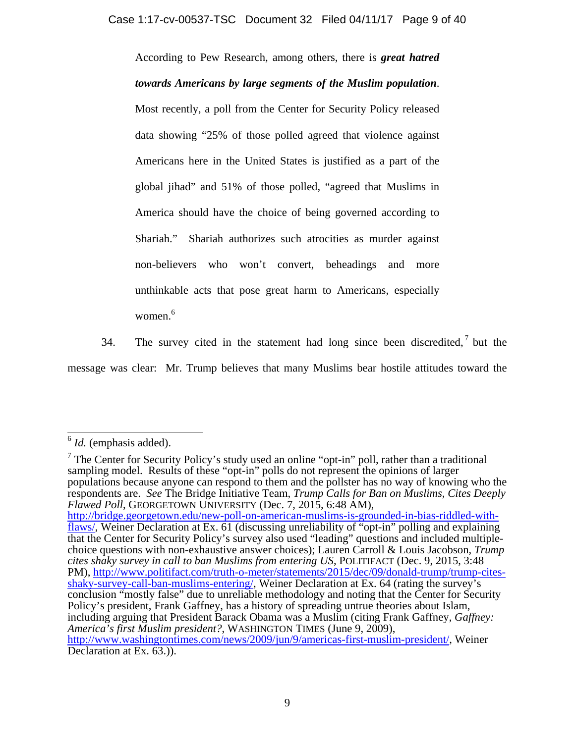According to Pew Research, among others, there is *great hatred towards Americans by large segments of the Muslim population*. Most recently, a poll from the Center for Security Policy released data showing "25% of those polled agreed that violence against Americans here in the United States is justified as a part of the global jihad" and 51% of those polled, "agreed that Muslims in America should have the choice of being governed according to Shariah." Shariah authorizes such atrocities as murder against non-believers who won't convert, beheadings and more unthinkable acts that pose great harm to Americans, especially women.<sup>6</sup>

34. The survey cited in the statement had long since been discredited, but the message was clear: Mr. Trump believes that many Muslims bear hostile attitudes toward the

<sup>7</sup> The Center for Security Policy's study used an online "opt-in" poll, rather than a traditional sampling model. Results of these "opt-in" polls do not represent the opinions of larger populations because anyone can respond to them and the pollster has no way of knowing who the respondents are. *See* The Bridge Initiative Team, *Trump Calls for Ban on Muslims, Cites Deeply Flawed Poll*, GEORGETOWN UNIVERSITY (Dec. 7, 2015, 6:48 AM), http://bridge.georgetown.edu/new-poll-on-american-muslims-is-grounded-in-bias-riddled-withflaws/, Weiner Declaration at Ex. 61 (discussing unreliability of "opt-in" polling and explaining that the Center for Security Policy's survey also used "leading" questions and included multiplechoice questions with non-exhaustive answer choices); Lauren Carroll & Louis Jacobson, *Trump cites shaky survey in call to ban Muslims from entering US*, POLITIFACT (Dec. 9, 2015, 3:48 PM), http://www.politifact.com/truth-o-meter/statements/2015/dec/09/donald-trump/trump-citesshaky-survey-call-ban-muslims-entering/, Weiner Declaration at Ex. 64 (rating the survey's conclusion "mostly false" due to unreliable methodology and noting that the Center for Security Policy's president, Frank Gaffney, has a history of spreading untrue theories about Islam, including arguing that President Barack Obama was a Muslim (citing Frank Gaffney, *Gaffney: America's first Muslim president?*, WASHINGTON TIMES (June 9, 2009), http://www.washingtontimes.com/news/2009/jun/9/americas-first-muslim-president/, Weiner Declaration at Ex.  $63$ .).

 $\overline{\phantom{a}}$ <sup>6</sup> *Id.* (emphasis added).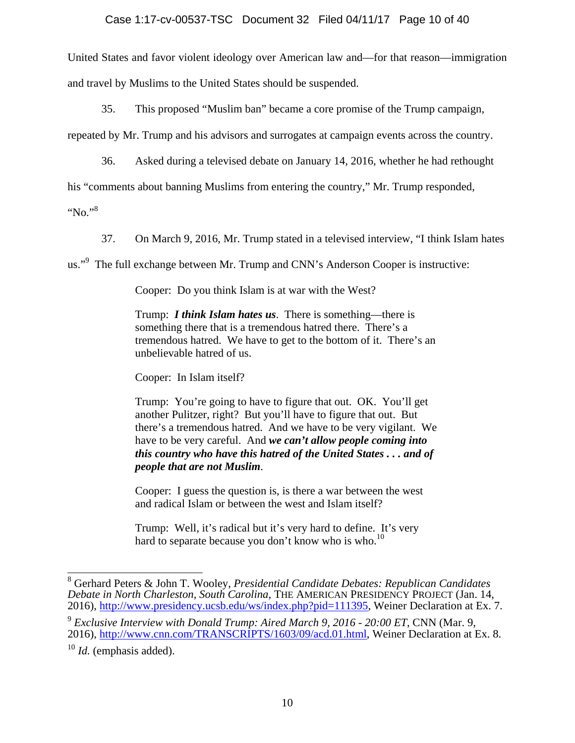# Case 1:17-cv-00537-TSC Document 32 Filed 04/11/17 Page 10 of 40

United States and favor violent ideology over American law and—for that reason—immigration and travel by Muslims to the United States should be suspended.

35. This proposed "Muslim ban" became a core promise of the Trump campaign,

repeated by Mr. Trump and his advisors and surrogates at campaign events across the country.

36. Asked during a televised debate on January 14, 2016, whether he had rethought

his "comments about banning Muslims from entering the country," Mr. Trump responded,

"No."<sup>8</sup>

37. On March 9, 2016, Mr. Trump stated in a televised interview, "I think Islam hates

us."<sup>9</sup> The full exchange between Mr. Trump and CNN's Anderson Cooper is instructive:

Cooper: Do you think Islam is at war with the West?

Trump: *I think Islam hates us*. There is something—there is something there that is a tremendous hatred there. There's a tremendous hatred. We have to get to the bottom of it. There's an unbelievable hatred of us.

Cooper: In Islam itself?

Trump: You're going to have to figure that out. OK. You'll get another Pulitzer, right? But you'll have to figure that out. But there's a tremendous hatred. And we have to be very vigilant. We have to be very careful. And *we can't allow people coming into this country who have this hatred of the United States . . . and of people that are not Muslim*.

Cooper: I guess the question is, is there a war between the west and radical Islam or between the west and Islam itself?

Trump: Well, it's radical but it's very hard to define. It's very hard to separate because you don't know who is who.<sup>10</sup>

 8 Gerhard Peters & John T. Wooley, *Presidential Candidate Debates: Republican Candidates Debate in North Charleston, South Carolina*, THE AMERICAN PRESIDENCY PROJECT (Jan. 14, 2016), http://www.presidency.ucsb.edu/ws/index.php?pid=111395, Weiner Declaration at Ex. 7.

<sup>9</sup> *Exclusive Interview with Donald Trump: Aired March 9, 2016 - 20:00 ET*, CNN (Mar. 9, 2016), http://www.cnn.com/TRANSCRIPTS/1603/09/acd.01.html, Weiner Declaration at Ex. 8.

<sup>10</sup> *Id.* (emphasis added).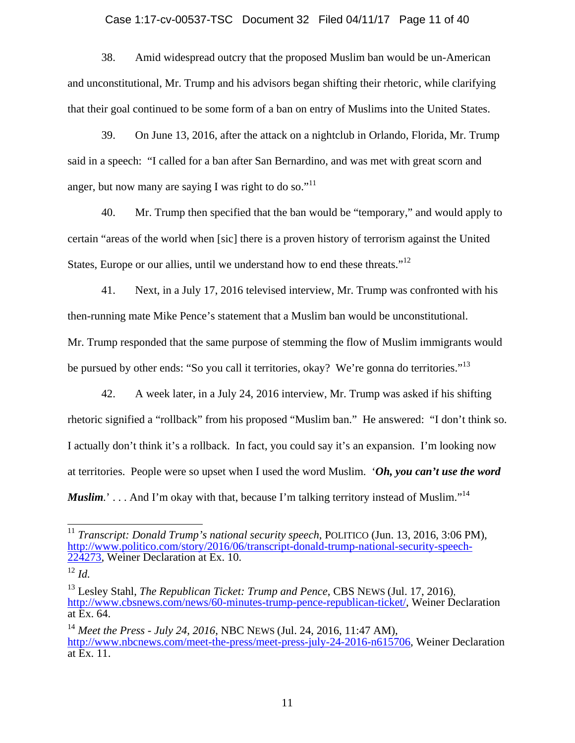#### Case 1:17-cv-00537-TSC Document 32 Filed 04/11/17 Page 11 of 40

38. Amid widespread outcry that the proposed Muslim ban would be un-American and unconstitutional, Mr. Trump and his advisors began shifting their rhetoric, while clarifying that their goal continued to be some form of a ban on entry of Muslims into the United States.

39. On June 13, 2016, after the attack on a nightclub in Orlando, Florida, Mr. Trump said in a speech: "I called for a ban after San Bernardino, and was met with great scorn and anger, but now many are saying I was right to do so."<sup>11</sup>

40. Mr. Trump then specified that the ban would be "temporary," and would apply to certain "areas of the world when [sic] there is a proven history of terrorism against the United States, Europe or our allies, until we understand how to end these threats."<sup>12</sup>

41. Next, in a July 17, 2016 televised interview, Mr. Trump was confronted with his then-running mate Mike Pence's statement that a Muslim ban would be unconstitutional. Mr. Trump responded that the same purpose of stemming the flow of Muslim immigrants would be pursued by other ends: "So you call it territories, okay? We're gonna do territories."<sup>13</sup>

42. A week later, in a July 24, 2016 interview, Mr. Trump was asked if his shifting rhetoric signified a "rollback" from his proposed "Muslim ban." He answered: "I don't think so. I actually don't think it's a rollback. In fact, you could say it's an expansion. I'm looking now at territories. People were so upset when I used the word Muslim. '*Oh, you can't use the word Muslim*.'... And I'm okay with that, because I'm talking territory instead of Muslim."<sup>14</sup>

 $\overline{a}$ 

<sup>11</sup> *Transcript: Donald Trump's national security speech*, POLITICO (Jun. 13, 2016, 3:06 PM), http://www.politico.com/story/2016/06/transcript-donald-trump-national-security-speech-224273, Weiner Declaration at Ex. 10.

<sup>12</sup> *Id.*

<sup>13</sup> Lesley Stahl, *The Republican Ticket: Trump and Pence*, CBS NEWS (Jul. 17, 2016), http://www.cbsnews.com/news/60-minutes-trump-pence-republican-ticket/, Weiner Declaration at Ex. 64.

<sup>14</sup> *Meet the Press - July 24, 2016*, NBC NEWS (Jul. 24, 2016, 11:47 AM), http://www.nbcnews.com/meet-the-press/meet-press-july-24-2016-n615706, Weiner Declaration at Ex. 11.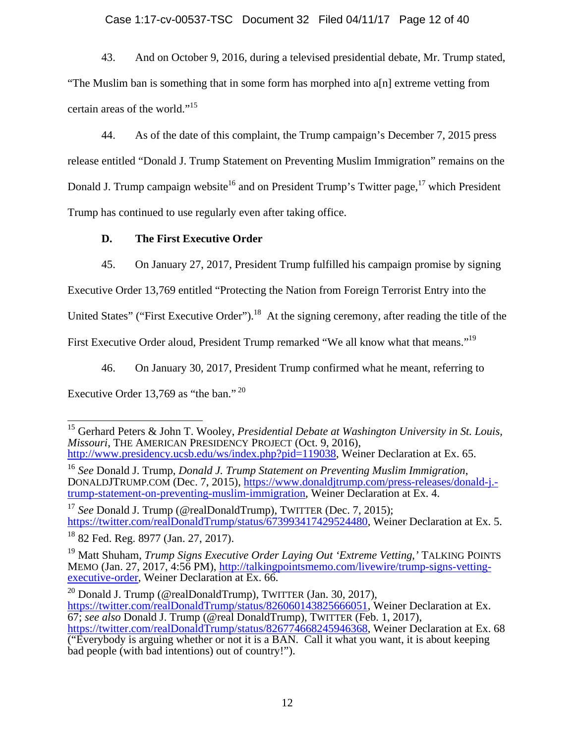# Case 1:17-cv-00537-TSC Document 32 Filed 04/11/17 Page 12 of 40

43. And on October 9, 2016, during a televised presidential debate, Mr. Trump stated, "The Muslim ban is something that in some form has morphed into a[n] extreme vetting from certain areas of the world."15

44. As of the date of this complaint, the Trump campaign's December 7, 2015 press release entitled "Donald J. Trump Statement on Preventing Muslim Immigration" remains on the Donald J. Trump campaign website<sup>16</sup> and on President Trump's Twitter page,<sup>17</sup> which President Trump has continued to use regularly even after taking office.

### **D. The First Executive Order**

45. On January 27, 2017, President Trump fulfilled his campaign promise by signing

Executive Order 13,769 entitled "Protecting the Nation from Foreign Terrorist Entry into the

United States" ("First Executive Order").<sup>18</sup> At the signing ceremony, after reading the title of the

First Executive Order aloud, President Trump remarked "We all know what that means."<sup>19</sup>

46. On January 30, 2017, President Trump confirmed what he meant, referring to

Executive Order 13,769 as "the ban."<sup>20</sup>

<sup>17</sup> *See* Donald J. Trump (@realDonaldTrump), TWITTER (Dec. 7, 2015); https://twitter.com/realDonaldTrump/status/673993417429524480, Weiner Declaration at Ex. 5.

<sup>20</sup> Donald J. Trump (@realDonaldTrump), TWITTER (Jan. 30, 2017), https://twitter.com/realDonaldTrump/status/826060143825666051, Weiner Declaration at Ex. 67; *see also* Donald J. Trump (@real DonaldTrump), TWITTER (Feb. 1, 2017), https://twitter.com/realDonaldTrump/status/826774668245946368, Weiner Declaration at Ex. 68  $\overline{(\text{``Everybody is arguing whether or not it is a BAN. Call it what you want, it is about keeping})}$ bad people (with bad intentions) out of country!").

 15 Gerhard Peters & John T. Wooley, *Presidential Debate at Washington University in St. Louis, Missouri*, THE AMERICAN PRESIDENCY PROJECT (Oct. 9, 2016), http://www.presidency.ucsb.edu/ws/index.php?pid=119038, Weiner Declaration at Ex. 65.

<sup>16</sup> *See* Donald J. Trump, *Donald J. Trump Statement on Preventing Muslim Immigration*, DONALDJTRUMP.COM (Dec. 7, 2015), https://www.donaldjtrump.com/press-releases/donald-j. trump-statement-on-preventing-muslim-immigration, Weiner Declaration at Ex. 4.

<sup>18 82</sup> Fed. Reg. 8977 (Jan. 27, 2017).

<sup>19</sup> Matt Shuham, *Trump Signs Executive Order Laying Out 'Extreme Vetting*,*'* TALKING POINTS MEMO (Jan. 27, 2017, 4:56 PM), http://talkingpointsmemo.com/livewire/trump-signs-vettingexecutive-order, Weiner Declaration at Ex. 66.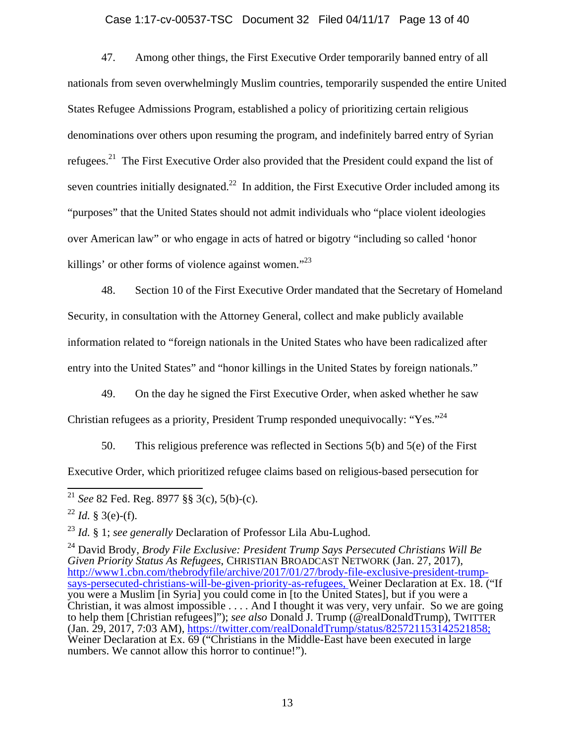#### Case 1:17-cv-00537-TSC Document 32 Filed 04/11/17 Page 13 of 40

47. Among other things, the First Executive Order temporarily banned entry of all nationals from seven overwhelmingly Muslim countries, temporarily suspended the entire United States Refugee Admissions Program, established a policy of prioritizing certain religious denominations over others upon resuming the program, and indefinitely barred entry of Syrian refugees.<sup>21</sup> The First Executive Order also provided that the President could expand the list of seven countries initially designated.<sup>22</sup> In addition, the First Executive Order included among its "purposes" that the United States should not admit individuals who "place violent ideologies over American law" or who engage in acts of hatred or bigotry "including so called 'honor killings' or other forms of violence against women."<sup>23</sup>

48. Section 10 of the First Executive Order mandated that the Secretary of Homeland Security, in consultation with the Attorney General, collect and make publicly available information related to "foreign nationals in the United States who have been radicalized after entry into the United States" and "honor killings in the United States by foreign nationals."

49. On the day he signed the First Executive Order, when asked whether he saw Christian refugees as a priority, President Trump responded unequivocally: "Yes."24

50. This religious preference was reflected in Sections 5(b) and 5(e) of the First Executive Order, which prioritized refugee claims based on religious-based persecution for

<sup>23</sup> *Id.* § 1; *see generally* Declaration of Professor Lila Abu-Lughod.

24 David Brody, *Brody File Exclusive: President Trump Says Persecuted Christians Will Be Given Priority Status As Refugees*, CHRISTIAN BROADCAST NETWORK (Jan. 27, 2017), http://www1.cbn.com/thebrodyfile/archive/2017/01/27/brody-file-exclusive-president-trumpsays-persecuted-christians-will-be-given-priority-as-refugees, Weiner Declaration at Ex. 18. ("If you were a Muslim [in Syria] you could come in [to the United States], but if you were a Christian, it was almost impossible . . . . And I thought it was very, very unfair. So we are going to help them [Christian refugees]"); *see also* Donald J. Trump (@realDonaldTrump), TWITTER (Jan. 29, 2017, 7:03 AM), https://twitter.com/realDonaldTrump/status/825721153142521858; Weiner Declaration at Ex. 69 ("Christians in the Middle-East have been executed in large numbers. We cannot allow this horror to continue!").

 $\overline{\phantom{a}}$ <sup>21</sup> *See* 82 Fed. Reg. 8977 §§ 3(c), 5(b)-(c).

 $^{22}$  *Id.* § 3(e)-(f).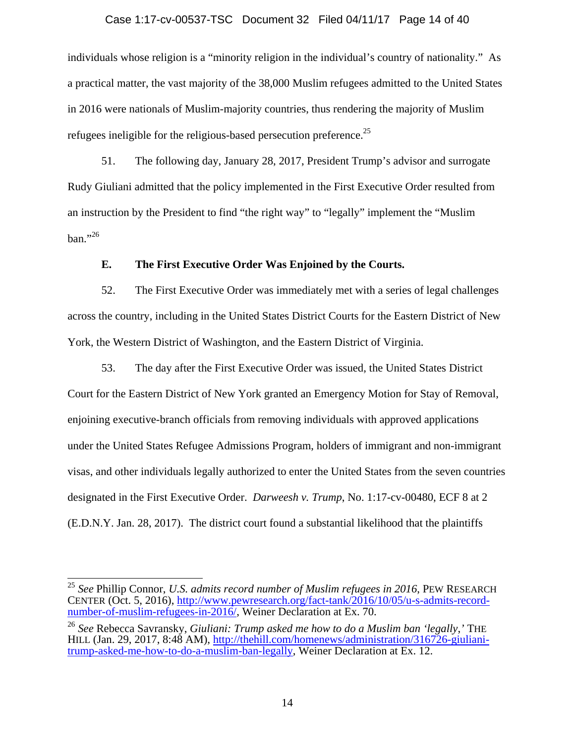#### Case 1:17-cv-00537-TSC Document 32 Filed 04/11/17 Page 14 of 40

individuals whose religion is a "minority religion in the individual's country of nationality." As a practical matter, the vast majority of the 38,000 Muslim refugees admitted to the United States in 2016 were nationals of Muslim-majority countries, thus rendering the majority of Muslim refugees ineligible for the religious-based persecution preference.<sup>25</sup>

51. The following day, January 28, 2017, President Trump's advisor and surrogate Rudy Giuliani admitted that the policy implemented in the First Executive Order resulted from an instruction by the President to find "the right way" to "legally" implement the "Muslim  $ban. "26"$ 

### **E. The First Executive Order Was Enjoined by the Courts.**

52. The First Executive Order was immediately met with a series of legal challenges across the country, including in the United States District Courts for the Eastern District of New York, the Western District of Washington, and the Eastern District of Virginia.

53. The day after the First Executive Order was issued, the United States District Court for the Eastern District of New York granted an Emergency Motion for Stay of Removal, enjoining executive-branch officials from removing individuals with approved applications under the United States Refugee Admissions Program, holders of immigrant and non-immigrant visas, and other individuals legally authorized to enter the United States from the seven countries designated in the First Executive Order. *Darweesh v. Trump*, No. 1:17-cv-00480, ECF 8 at 2 (E.D.N.Y. Jan. 28, 2017). The district court found a substantial likelihood that the plaintiffs

 $\overline{\phantom{a}}$ 

<sup>25</sup> *See* Phillip Connor, *U.S. admits record number of Muslim refugees in 2016*, PEW RESEARCH CENTER (Oct. 5, 2016), http://www.pewresearch.org/fact-tank/2016/10/05/u-s-admits-recordnumber-of-muslim-refugees-in-2016/, Weiner Declaration at Ex. 70.

<sup>26</sup> *See* Rebecca Savransky, *Giuliani: Trump asked me how to do a Muslim ban 'legally*,*'* THE HILL (Jan. 29, 2017, 8:48 AM), http://thehill.com/homenews/administration/316726-giulianitrump-asked-me-how-to-do-a-muslim-ban-legally, Weiner Declaration at Ex. 12.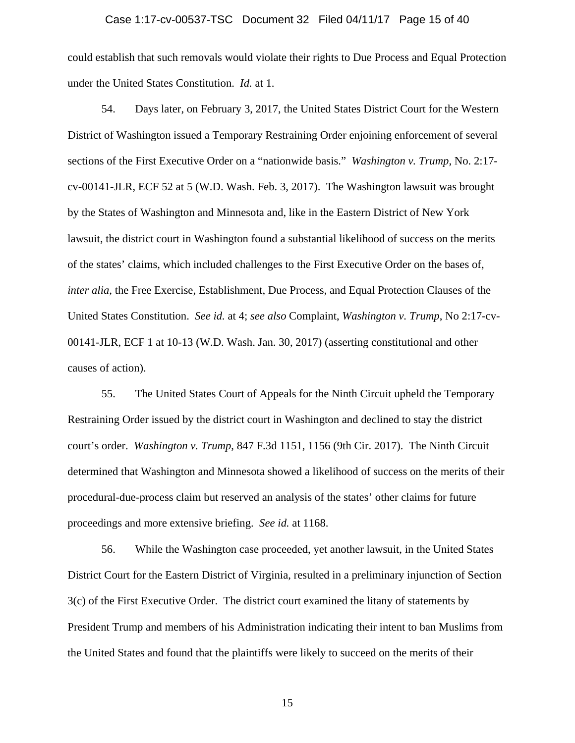#### Case 1:17-cv-00537-TSC Document 32 Filed 04/11/17 Page 15 of 40

could establish that such removals would violate their rights to Due Process and Equal Protection under the United States Constitution. *Id.* at 1.

54. Days later, on February 3, 2017, the United States District Court for the Western District of Washington issued a Temporary Restraining Order enjoining enforcement of several sections of the First Executive Order on a "nationwide basis." *Washington v. Trump*, No. 2:17 cv-00141-JLR, ECF 52 at 5 (W.D. Wash. Feb. 3, 2017). The Washington lawsuit was brought by the States of Washington and Minnesota and, like in the Eastern District of New York lawsuit, the district court in Washington found a substantial likelihood of success on the merits of the states' claims, which included challenges to the First Executive Order on the bases of, *inter alia*, the Free Exercise, Establishment, Due Process, and Equal Protection Clauses of the United States Constitution. *See id.* at 4; *see also* Complaint, *Washington v. Trump*, No 2:17-cv-00141-JLR, ECF 1 at 10-13 (W.D. Wash. Jan. 30, 2017) (asserting constitutional and other causes of action).

55. The United States Court of Appeals for the Ninth Circuit upheld the Temporary Restraining Order issued by the district court in Washington and declined to stay the district court's order. *Washington v. Trump*, 847 F.3d 1151, 1156 (9th Cir. 2017). The Ninth Circuit determined that Washington and Minnesota showed a likelihood of success on the merits of their procedural-due-process claim but reserved an analysis of the states' other claims for future proceedings and more extensive briefing. *See id.* at 1168.

56. While the Washington case proceeded, yet another lawsuit, in the United States District Court for the Eastern District of Virginia, resulted in a preliminary injunction of Section 3(c) of the First Executive Order. The district court examined the litany of statements by President Trump and members of his Administration indicating their intent to ban Muslims from the United States and found that the plaintiffs were likely to succeed on the merits of their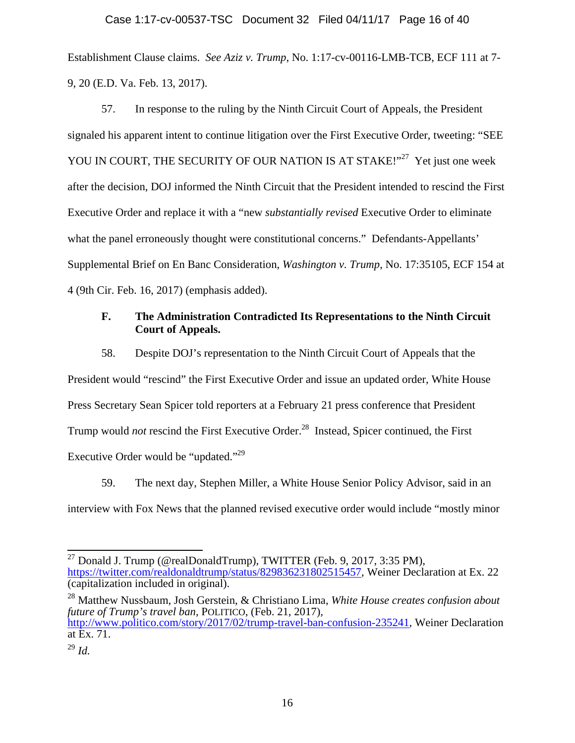# Case 1:17-cv-00537-TSC Document 32 Filed 04/11/17 Page 16 of 40

Establishment Clause claims. *See Aziz v. Trump*, No. 1:17-cv-00116-LMB-TCB, ECF 111 at 7- 9, 20 (E.D. Va. Feb. 13, 2017).

57. In response to the ruling by the Ninth Circuit Court of Appeals, the President signaled his apparent intent to continue litigation over the First Executive Order, tweeting: "SEE YOU IN COURT, THE SECURITY OF OUR NATION IS AT STAKE!"<sup>27</sup> Yet just one week after the decision, DOJ informed the Ninth Circuit that the President intended to rescind the First Executive Order and replace it with a "new *substantially revised* Executive Order to eliminate what the panel erroneously thought were constitutional concerns." Defendants-Appellants' Supplemental Brief on En Banc Consideration, *Washington v. Trump*, No. 17:35105, ECF 154 at 4 (9th Cir. Feb. 16, 2017) (emphasis added).

## **F. The Administration Contradicted Its Representations to the Ninth Circuit Court of Appeals.**

58. Despite DOJ's representation to the Ninth Circuit Court of Appeals that the President would "rescind" the First Executive Order and issue an updated order, White House Press Secretary Sean Spicer told reporters at a February 21 press conference that President Trump would *not* rescind the First Executive Order.<sup>28</sup> Instead, Spicer continued, the First Executive Order would be "updated."29

59. The next day, Stephen Miller, a White House Senior Policy Advisor, said in an interview with Fox News that the planned revised executive order would include "mostly minor

28 Matthew Nussbaum, Josh Gerstein, & Christiano Lima, *White House creates confusion about future of Trump's travel ban*, POLITICO, (Feb. 21, 2017), http://www.politico.com/story/2017/02/trump-travel-ban-confusion-235241, Weiner Declaration at Ex. 71.

 $\overline{\phantom{a}}$ <sup>27</sup> Donald J. Trump (@realDonaldTrump), TWITTER (Feb. 9, 2017, 3:35 PM), https://twitter.com/realdonaldtrump/status/829836231802515457, Weiner Declaration at Ex. 22 (capitalization included in original).

<sup>29</sup> *Id.*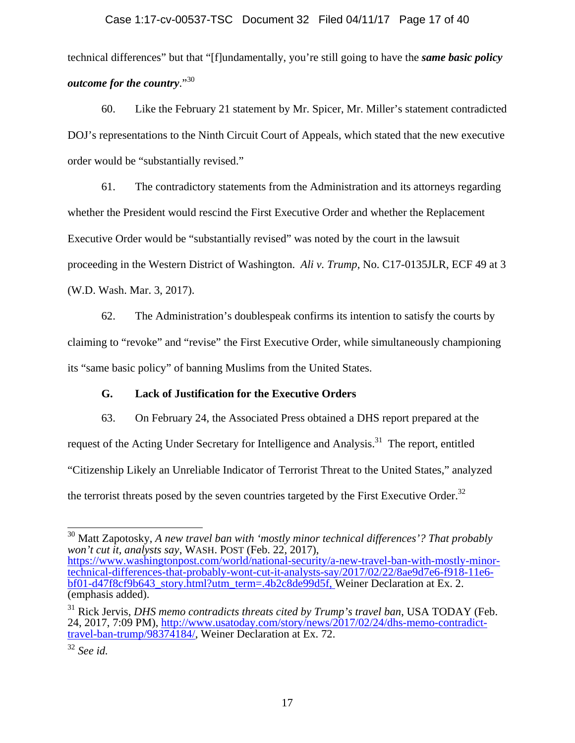# Case 1:17-cv-00537-TSC Document 32 Filed 04/11/17 Page 17 of 40

technical differences" but that "[f]undamentally, you're still going to have the *same basic policy outcome for the country*."<sup>30</sup>

60. Like the February 21 statement by Mr. Spicer, Mr. Miller's statement contradicted DOJ's representations to the Ninth Circuit Court of Appeals, which stated that the new executive order would be "substantially revised."

61. The contradictory statements from the Administration and its attorneys regarding whether the President would rescind the First Executive Order and whether the Replacement Executive Order would be "substantially revised" was noted by the court in the lawsuit proceeding in the Western District of Washington. *Ali v. Trump*, No. C17-0135JLR, ECF 49 at 3 (W.D. Wash. Mar. 3, 2017).

62. The Administration's doublespeak confirms its intention to satisfy the courts by claiming to "revoke" and "revise" the First Executive Order, while simultaneously championing its "same basic policy" of banning Muslims from the United States.

# **G. Lack of Justification for the Executive Orders**

63. On February 24, the Associated Press obtained a DHS report prepared at the request of the Acting Under Secretary for Intelligence and Analysis.<sup>31</sup> The report, entitled "Citizenship Likely an Unreliable Indicator of Terrorist Threat to the United States," analyzed the terrorist threats posed by the seven countries targeted by the First Executive Order.<sup>32</sup>

 $\overline{a}$ 30 Matt Zapotosky, *A new travel ban with 'mostly minor technical differences'? That probably won't cut it, analysts say*, WASH. POST (Feb. 22, 2017),

https://www.washingtonpost.com/world/national-security/a-new-travel-ban-with-mostly-minortechnical-differences-that-probably-wont-cut-it-analysts-say/2017/02/22/8ae9d7e6-f918-11e6 bf01-d47f8cf9b643\_story.html?utm\_term=.4b2c8de99d5f, Weiner Declaration at Ex. 2. (emphasis added).

<sup>31</sup> Rick Jervis, *DHS memo contradicts threats cited by Trump's travel ban*, USA TODAY (Feb. 24, 2017, 7:09 PM), http://www.usatoday.com/story/news/2017/02/24/dhs-memo-contradicttravel-ban-trump/98374184/, Weiner Declaration at Ex. 72.

<sup>32</sup> *See id.*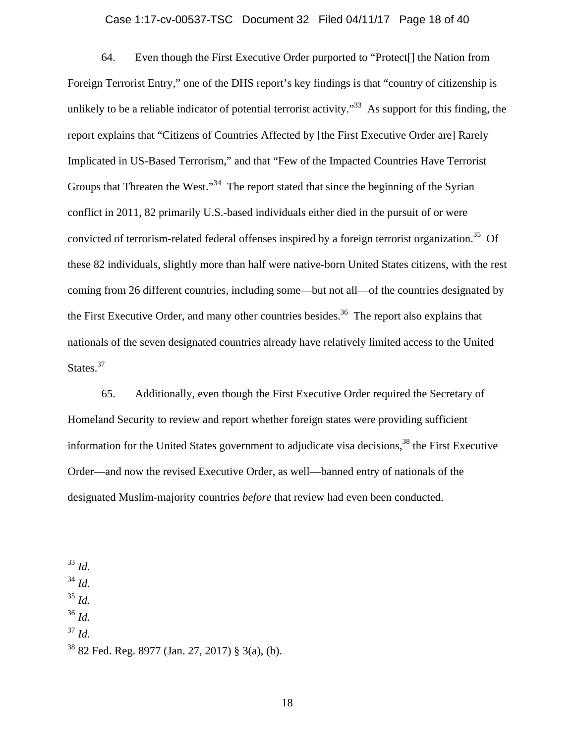#### Case 1:17-cv-00537-TSC Document 32 Filed 04/11/17 Page 18 of 40

64. Even though the First Executive Order purported to "Protect[] the Nation from Foreign Terrorist Entry," one of the DHS report's key findings is that "country of citizenship is unlikely to be a reliable indicator of potential terrorist activity."<sup>33</sup> As support for this finding, the report explains that "Citizens of Countries Affected by [the First Executive Order are] Rarely Implicated in US-Based Terrorism," and that "Few of the Impacted Countries Have Terrorist Groups that Threaten the West."<sup>34</sup> The report stated that since the beginning of the Syrian conflict in 2011, 82 primarily U.S.-based individuals either died in the pursuit of or were convicted of terrorism-related federal offenses inspired by a foreign terrorist organization.<sup>35</sup> Of these 82 individuals, slightly more than half were native-born United States citizens, with the rest coming from 26 different countries, including some—but not all—of the countries designated by the First Executive Order, and many other countries besides.<sup>36</sup> The report also explains that nationals of the seven designated countries already have relatively limited access to the United States.<sup>37</sup>

65. Additionally, even though the First Executive Order required the Secretary of Homeland Security to review and report whether foreign states were providing sufficient information for the United States government to adjudicate visa decisions,<sup>38</sup> the First Executive Order—and now the revised Executive Order, as well—banned entry of nationals of the designated Muslim-majority countries *before* that review had even been conducted.

- <sup>35</sup> *Id.*
- <sup>36</sup> *Id.*
- $^{37}$  *Id.*

 $\overline{\phantom{a}}$ <sup>33</sup> *Id.*

<sup>34</sup> *Id.*

 $38$  82 Fed. Reg. 8977 (Jan. 27, 2017) § 3(a), (b).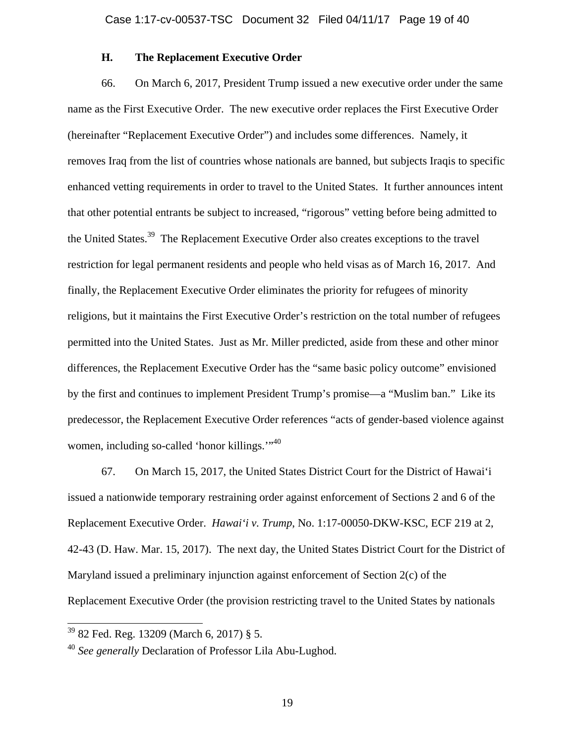### **H. The Replacement Executive Order**

66. On March 6, 2017, President Trump issued a new executive order under the same name as the First Executive Order. The new executive order replaces the First Executive Order (hereinafter "Replacement Executive Order") and includes some differences. Namely, it removes Iraq from the list of countries whose nationals are banned, but subjects Iraqis to specific enhanced vetting requirements in order to travel to the United States. It further announces intent that other potential entrants be subject to increased, "rigorous" vetting before being admitted to the United States.<sup>39</sup> The Replacement Executive Order also creates exceptions to the travel restriction for legal permanent residents and people who held visas as of March 16, 2017. And finally, the Replacement Executive Order eliminates the priority for refugees of minority religions, but it maintains the First Executive Order's restriction on the total number of refugees permitted into the United States. Just as Mr. Miller predicted, aside from these and other minor differences, the Replacement Executive Order has the "same basic policy outcome" envisioned by the first and continues to implement President Trump's promise—a "Muslim ban." Like its predecessor, the Replacement Executive Order references "acts of gender-based violence against women, including so-called 'honor killings."<sup>40</sup>

67. On March 15, 2017, the United States District Court for the District of Hawai'i issued a nationwide temporary restraining order against enforcement of Sections 2 and 6 of the Replacement Executive Order. *Hawai'i v. Trump*, No. 1:17-00050-DKW-KSC, ECF 219 at 2, 42-43 (D. Haw. Mar. 15, 2017). The next day, the United States District Court for the District of Maryland issued a preliminary injunction against enforcement of Section 2(c) of the Replacement Executive Order (the provision restricting travel to the United States by nationals

 $\overline{\phantom{a}}$ 

<sup>39 82</sup> Fed. Reg. 13209 (March 6, 2017) § 5.

<sup>40</sup> *See generally* Declaration of Professor Lila Abu-Lughod.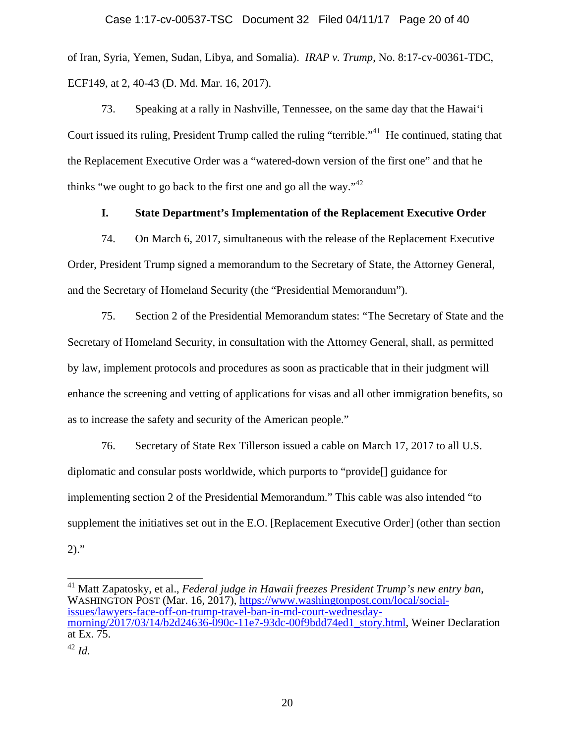of Iran, Syria, Yemen, Sudan, Libya, and Somalia). *IRAP v. Trump*, No. 8:17-cv-00361-TDC, ECF149, at 2, 40-43 (D. Md. Mar. 16, 2017).

73. Speaking at a rally in Nashville, Tennessee, on the same day that the Hawai'i Court issued its ruling, President Trump called the ruling "terrible."<sup>41</sup> He continued, stating that the Replacement Executive Order was a "watered-down version of the first one" and that he thinks "we ought to go back to the first one and go all the way." $42$ 

### **I. State Department's Implementation of the Replacement Executive Order**

74. On March 6, 2017, simultaneous with the release of the Replacement Executive Order, President Trump signed a memorandum to the Secretary of State, the Attorney General, and the Secretary of Homeland Security (the "Presidential Memorandum").

75. Section 2 of the Presidential Memorandum states: "The Secretary of State and the Secretary of Homeland Security, in consultation with the Attorney General, shall, as permitted by law, implement protocols and procedures as soon as practicable that in their judgment will enhance the screening and vetting of applications for visas and all other immigration benefits, so as to increase the safety and security of the American people."

76. Secretary of State Rex Tillerson issued a cable on March 17, 2017 to all U.S. diplomatic and consular posts worldwide, which purports to "provide[] guidance for implementing section 2 of the Presidential Memorandum." This cable was also intended "to supplement the initiatives set out in the E.O. [Replacement Executive Order] (other than section  $2)$ ."

 $\overline{a}$ <sup>41</sup> Matt Zapatosky, et al., *Federal judge in Hawaii freezes President Trump's new entry ban,*<br>WASHINGTON POST (Mar. 16, 2017), <u>https://www.washingtonpost.com/local/social-</u> issues/lawyers-face-off-on-trump-travel-ban-in-md-court-wednesdaymorning/2017/03/14/b2d24636-090c-11e7-93dc-00f9bdd74ed1\_story.html, Weiner Declaration at Ex. 75.

<sup>42</sup> *Id.*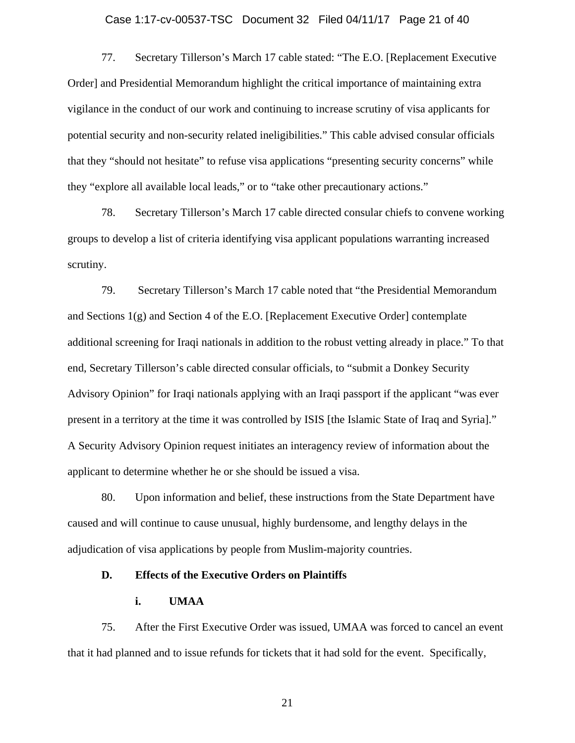#### Case 1:17-cv-00537-TSC Document 32 Filed 04/11/17 Page 21 of 40

77. Secretary Tillerson's March 17 cable stated: "The E.O. [Replacement Executive Order] and Presidential Memorandum highlight the critical importance of maintaining extra vigilance in the conduct of our work and continuing to increase scrutiny of visa applicants for potential security and non-security related ineligibilities." This cable advised consular officials that they "should not hesitate" to refuse visa applications "presenting security concerns" while they "explore all available local leads," or to "take other precautionary actions."

78. Secretary Tillerson's March 17 cable directed consular chiefs to convene working groups to develop a list of criteria identifying visa applicant populations warranting increased scrutiny.

79. Secretary Tillerson's March 17 cable noted that "the Presidential Memorandum and Sections  $1(g)$  and Section 4 of the E.O. [Replacement Executive Order] contemplate additional screening for Iraqi nationals in addition to the robust vetting already in place." To that end, Secretary Tillerson's cable directed consular officials, to "submit a Donkey Security Advisory Opinion" for Iraqi nationals applying with an Iraqi passport if the applicant "was ever present in a territory at the time it was controlled by ISIS [the Islamic State of Iraq and Syria]." A Security Advisory Opinion request initiates an interagency review of information about the applicant to determine whether he or she should be issued a visa.

80. Upon information and belief, these instructions from the State Department have caused and will continue to cause unusual, highly burdensome, and lengthy delays in the adjudication of visa applications by people from Muslim-majority countries.

### **D. Effects of the Executive Orders on Plaintiffs**

## **i. UMAA**

75. After the First Executive Order was issued, UMAA was forced to cancel an event that it had planned and to issue refunds for tickets that it had sold for the event. Specifically,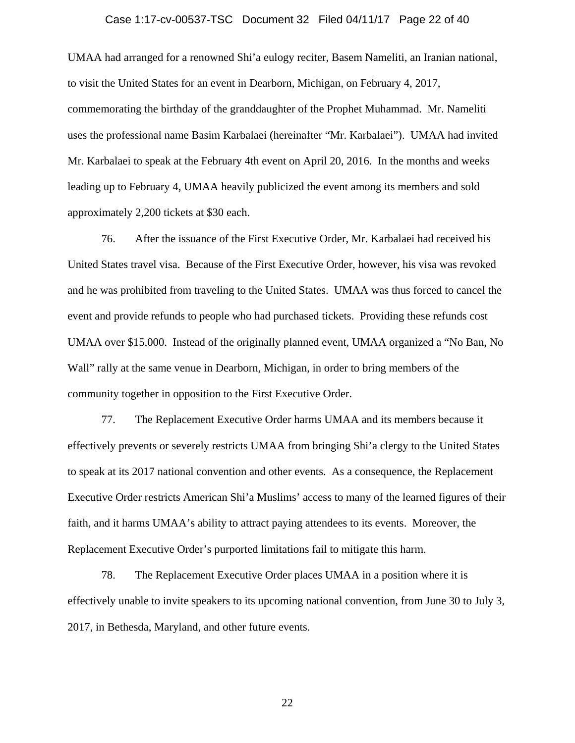#### Case 1:17-cv-00537-TSC Document 32 Filed 04/11/17 Page 22 of 40

UMAA had arranged for a renowned Shi'a eulogy reciter, Basem Nameliti, an Iranian national, to visit the United States for an event in Dearborn, Michigan, on February 4, 2017, commemorating the birthday of the granddaughter of the Prophet Muhammad. Mr. Nameliti uses the professional name Basim Karbalaei (hereinafter "Mr. Karbalaei"). UMAA had invited Mr. Karbalaei to speak at the February 4th event on April 20, 2016. In the months and weeks leading up to February 4, UMAA heavily publicized the event among its members and sold approximately 2,200 tickets at \$30 each.

76. After the issuance of the First Executive Order, Mr. Karbalaei had received his United States travel visa. Because of the First Executive Order, however, his visa was revoked and he was prohibited from traveling to the United States. UMAA was thus forced to cancel the event and provide refunds to people who had purchased tickets. Providing these refunds cost UMAA over \$15,000. Instead of the originally planned event, UMAA organized a "No Ban, No Wall" rally at the same venue in Dearborn, Michigan, in order to bring members of the community together in opposition to the First Executive Order.

77. The Replacement Executive Order harms UMAA and its members because it effectively prevents or severely restricts UMAA from bringing Shi'a clergy to the United States to speak at its 2017 national convention and other events. As a consequence, the Replacement Executive Order restricts American Shi'a Muslims' access to many of the learned figures of their faith, and it harms UMAA's ability to attract paying attendees to its events. Moreover, the Replacement Executive Order's purported limitations fail to mitigate this harm.

78. The Replacement Executive Order places UMAA in a position where it is effectively unable to invite speakers to its upcoming national convention, from June 30 to July 3, 2017, in Bethesda, Maryland, and other future events.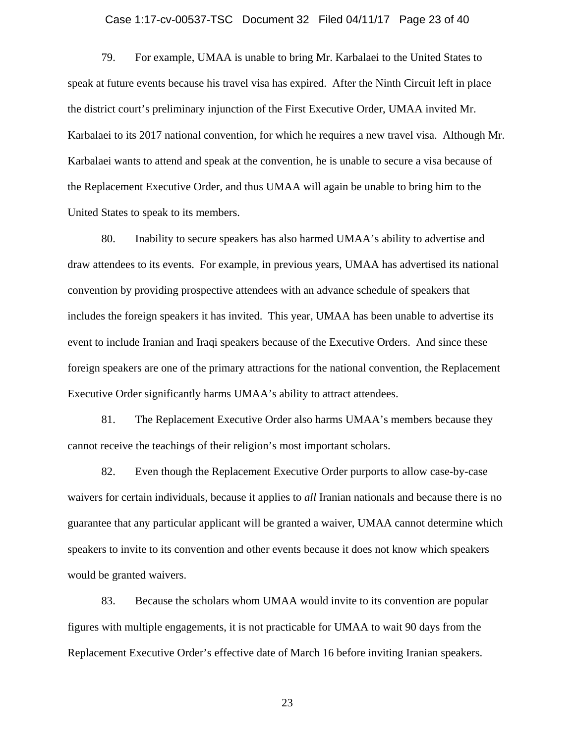#### Case 1:17-cv-00537-TSC Document 32 Filed 04/11/17 Page 23 of 40

79. For example, UMAA is unable to bring Mr. Karbalaei to the United States to speak at future events because his travel visa has expired. After the Ninth Circuit left in place the district court's preliminary injunction of the First Executive Order, UMAA invited Mr. Karbalaei to its 2017 national convention, for which he requires a new travel visa. Although Mr. Karbalaei wants to attend and speak at the convention, he is unable to secure a visa because of the Replacement Executive Order, and thus UMAA will again be unable to bring him to the United States to speak to its members.

80. Inability to secure speakers has also harmed UMAA's ability to advertise and draw attendees to its events. For example, in previous years, UMAA has advertised its national convention by providing prospective attendees with an advance schedule of speakers that includes the foreign speakers it has invited. This year, UMAA has been unable to advertise its event to include Iranian and Iraqi speakers because of the Executive Orders. And since these foreign speakers are one of the primary attractions for the national convention, the Replacement Executive Order significantly harms UMAA's ability to attract attendees.

81. The Replacement Executive Order also harms UMAA's members because they cannot receive the teachings of their religion's most important scholars.

82. Even though the Replacement Executive Order purports to allow case-by-case waivers for certain individuals, because it applies to *all* Iranian nationals and because there is no guarantee that any particular applicant will be granted a waiver, UMAA cannot determine which speakers to invite to its convention and other events because it does not know which speakers would be granted waivers.

83. Because the scholars whom UMAA would invite to its convention are popular figures with multiple engagements, it is not practicable for UMAA to wait 90 days from the Replacement Executive Order's effective date of March 16 before inviting Iranian speakers.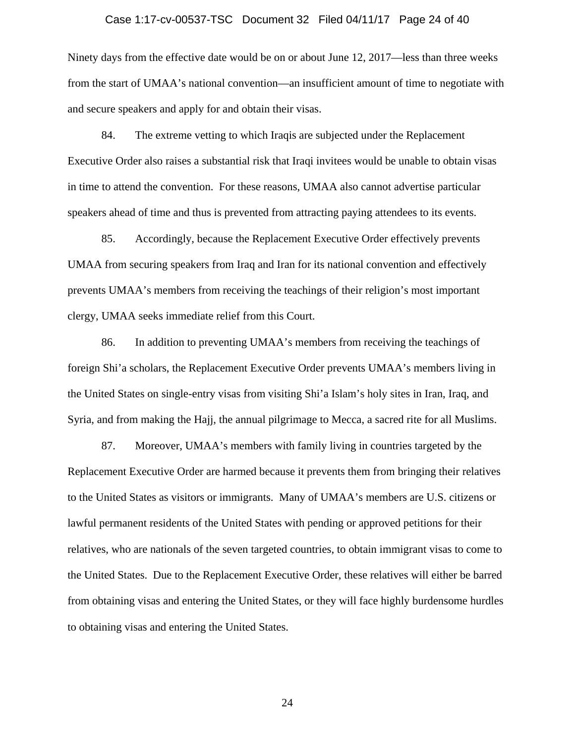#### Case 1:17-cv-00537-TSC Document 32 Filed 04/11/17 Page 24 of 40

Ninety days from the effective date would be on or about June 12, 2017—less than three weeks from the start of UMAA's national convention—an insufficient amount of time to negotiate with and secure speakers and apply for and obtain their visas.

84. The extreme vetting to which Iraqis are subjected under the Replacement Executive Order also raises a substantial risk that Iraqi invitees would be unable to obtain visas in time to attend the convention. For these reasons, UMAA also cannot advertise particular speakers ahead of time and thus is prevented from attracting paying attendees to its events.

85. Accordingly, because the Replacement Executive Order effectively prevents UMAA from securing speakers from Iraq and Iran for its national convention and effectively prevents UMAA's members from receiving the teachings of their religion's most important clergy, UMAA seeks immediate relief from this Court.

86. In addition to preventing UMAA's members from receiving the teachings of foreign Shi'a scholars, the Replacement Executive Order prevents UMAA's members living in the United States on single-entry visas from visiting Shi'a Islam's holy sites in Iran, Iraq, and Syria, and from making the Hajj, the annual pilgrimage to Mecca, a sacred rite for all Muslims.

87. Moreover, UMAA's members with family living in countries targeted by the Replacement Executive Order are harmed because it prevents them from bringing their relatives to the United States as visitors or immigrants. Many of UMAA's members are U.S. citizens or lawful permanent residents of the United States with pending or approved petitions for their relatives, who are nationals of the seven targeted countries, to obtain immigrant visas to come to the United States. Due to the Replacement Executive Order, these relatives will either be barred from obtaining visas and entering the United States, or they will face highly burdensome hurdles to obtaining visas and entering the United States.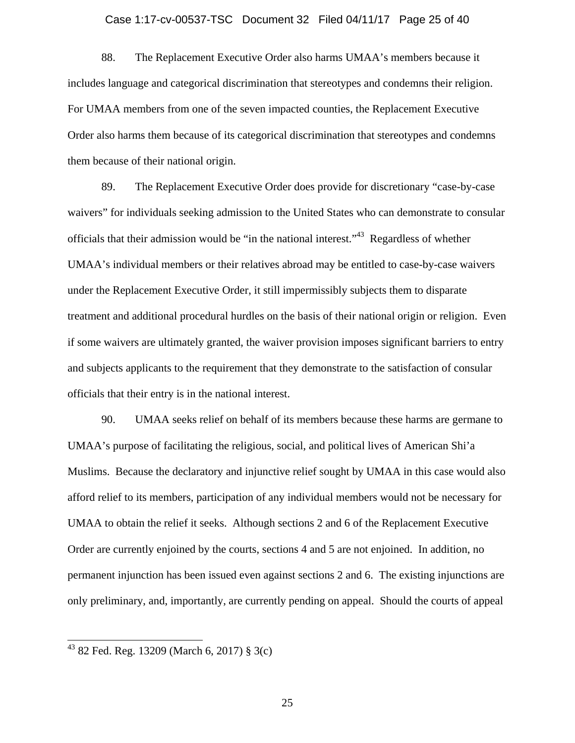#### Case 1:17-cv-00537-TSC Document 32 Filed 04/11/17 Page 25 of 40

88. The Replacement Executive Order also harms UMAA's members because it includes language and categorical discrimination that stereotypes and condemns their religion. For UMAA members from one of the seven impacted counties, the Replacement Executive Order also harms them because of its categorical discrimination that stereotypes and condemns them because of their national origin.

89. The Replacement Executive Order does provide for discretionary "case-by-case waivers" for individuals seeking admission to the United States who can demonstrate to consular officials that their admission would be "in the national interest."43 Regardless of whether UMAA's individual members or their relatives abroad may be entitled to case-by-case waivers under the Replacement Executive Order, it still impermissibly subjects them to disparate treatment and additional procedural hurdles on the basis of their national origin or religion. Even if some waivers are ultimately granted, the waiver provision imposes significant barriers to entry and subjects applicants to the requirement that they demonstrate to the satisfaction of consular officials that their entry is in the national interest.

90. UMAA seeks relief on behalf of its members because these harms are germane to UMAA's purpose of facilitating the religious, social, and political lives of American Shi'a Muslims. Because the declaratory and injunctive relief sought by UMAA in this case would also afford relief to its members, participation of any individual members would not be necessary for UMAA to obtain the relief it seeks. Although sections 2 and 6 of the Replacement Executive Order are currently enjoined by the courts, sections 4 and 5 are not enjoined. In addition, no permanent injunction has been issued even against sections 2 and 6. The existing injunctions are only preliminary, and, importantly, are currently pending on appeal. Should the courts of appeal

 $\overline{\phantom{a}}$ 

 $4382$  Fed. Reg. 13209 (March 6, 2017) § 3(c)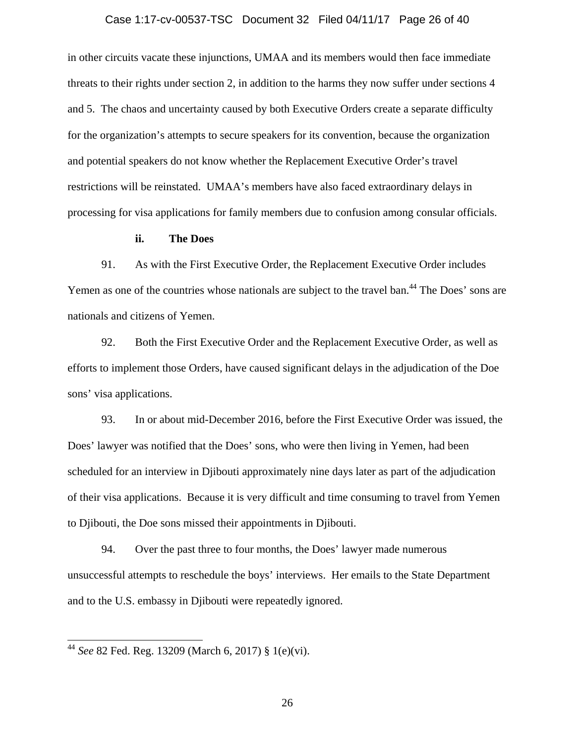#### Case 1:17-cv-00537-TSC Document 32 Filed 04/11/17 Page 26 of 40

in other circuits vacate these injunctions, UMAA and its members would then face immediate threats to their rights under section 2, in addition to the harms they now suffer under sections 4 and 5. The chaos and uncertainty caused by both Executive Orders create a separate difficulty for the organization's attempts to secure speakers for its convention, because the organization and potential speakers do not know whether the Replacement Executive Order's travel restrictions will be reinstated. UMAA's members have also faced extraordinary delays in processing for visa applications for family members due to confusion among consular officials.

#### **ii. The Does**

91. As with the First Executive Order, the Replacement Executive Order includes Yemen as one of the countries whose nationals are subject to the travel ban.<sup>44</sup> The Does' sons are nationals and citizens of Yemen.

92. Both the First Executive Order and the Replacement Executive Order, as well as efforts to implement those Orders, have caused significant delays in the adjudication of the Doe sons' visa applications.

93. In or about mid-December 2016, before the First Executive Order was issued, the Does' lawyer was notified that the Does' sons, who were then living in Yemen, had been scheduled for an interview in Djibouti approximately nine days later as part of the adjudication of their visa applications. Because it is very difficult and time consuming to travel from Yemen to Djibouti, the Doe sons missed their appointments in Djibouti.

94. Over the past three to four months, the Does' lawyer made numerous unsuccessful attempts to reschedule the boys' interviews. Her emails to the State Department and to the U.S. embassy in Djibouti were repeatedly ignored.

 $\overline{\phantom{a}}$ 

<sup>44</sup> *See* 82 Fed. Reg. 13209 (March 6, 2017) § 1(e)(vi).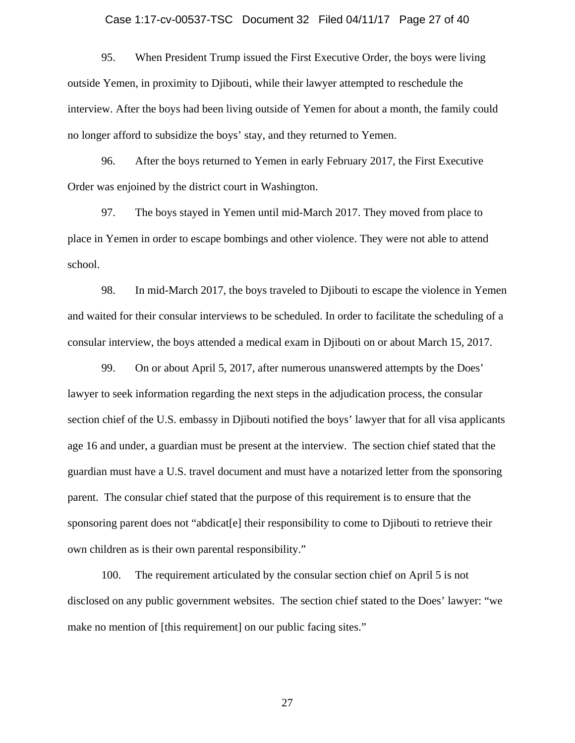#### Case 1:17-cv-00537-TSC Document 32 Filed 04/11/17 Page 27 of 40

95. When President Trump issued the First Executive Order, the boys were living outside Yemen, in proximity to Djibouti, while their lawyer attempted to reschedule the interview. After the boys had been living outside of Yemen for about a month, the family could no longer afford to subsidize the boys' stay, and they returned to Yemen.

96. After the boys returned to Yemen in early February 2017, the First Executive Order was enjoined by the district court in Washington.

97. The boys stayed in Yemen until mid-March 2017. They moved from place to place in Yemen in order to escape bombings and other violence. They were not able to attend school.

98. In mid-March 2017, the boys traveled to Djibouti to escape the violence in Yemen and waited for their consular interviews to be scheduled. In order to facilitate the scheduling of a consular interview, the boys attended a medical exam in Djibouti on or about March 15, 2017.

99. On or about April 5, 2017, after numerous unanswered attempts by the Does' lawyer to seek information regarding the next steps in the adjudication process, the consular section chief of the U.S. embassy in Djibouti notified the boys' lawyer that for all visa applicants age 16 and under, a guardian must be present at the interview. The section chief stated that the guardian must have a U.S. travel document and must have a notarized letter from the sponsoring parent. The consular chief stated that the purpose of this requirement is to ensure that the sponsoring parent does not "abdicat[e] their responsibility to come to Djibouti to retrieve their own children as is their own parental responsibility."

100. The requirement articulated by the consular section chief on April 5 is not disclosed on any public government websites. The section chief stated to the Does' lawyer: "we make no mention of [this requirement] on our public facing sites."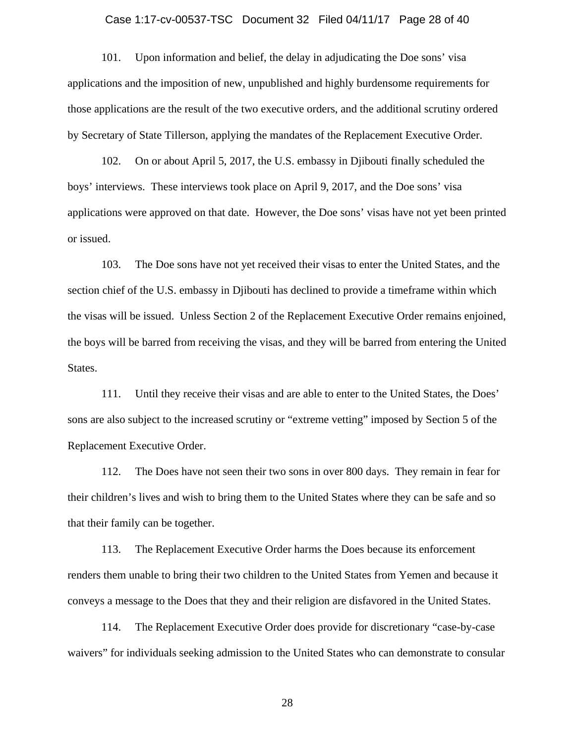#### Case 1:17-cv-00537-TSC Document 32 Filed 04/11/17 Page 28 of 40

101. Upon information and belief, the delay in adjudicating the Doe sons' visa applications and the imposition of new, unpublished and highly burdensome requirements for those applications are the result of the two executive orders, and the additional scrutiny ordered by Secretary of State Tillerson, applying the mandates of the Replacement Executive Order.

102. On or about April 5, 2017, the U.S. embassy in Djibouti finally scheduled the boys' interviews. These interviews took place on April 9, 2017, and the Doe sons' visa applications were approved on that date. However, the Doe sons' visas have not yet been printed or issued.

103. The Doe sons have not yet received their visas to enter the United States, and the section chief of the U.S. embassy in Djibouti has declined to provide a timeframe within which the visas will be issued. Unless Section 2 of the Replacement Executive Order remains enjoined, the boys will be barred from receiving the visas, and they will be barred from entering the United States.

111. Until they receive their visas and are able to enter to the United States, the Does' sons are also subject to the increased scrutiny or "extreme vetting" imposed by Section 5 of the Replacement Executive Order.

112. The Does have not seen their two sons in over 800 days. They remain in fear for their children's lives and wish to bring them to the United States where they can be safe and so that their family can be together.

113. The Replacement Executive Order harms the Does because its enforcement renders them unable to bring their two children to the United States from Yemen and because it conveys a message to the Does that they and their religion are disfavored in the United States.

114. The Replacement Executive Order does provide for discretionary "case-by-case waivers" for individuals seeking admission to the United States who can demonstrate to consular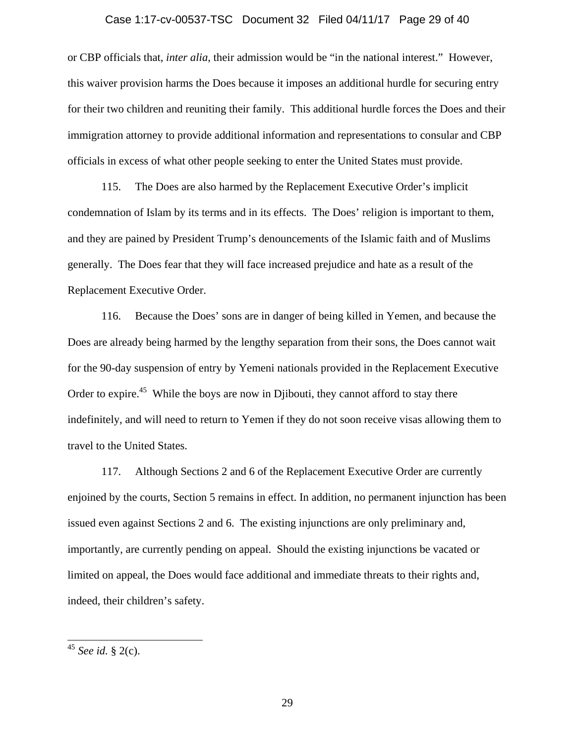#### Case 1:17-cv-00537-TSC Document 32 Filed 04/11/17 Page 29 of 40

or CBP officials that, *inter alia*, their admission would be "in the national interest." However, this waiver provision harms the Does because it imposes an additional hurdle for securing entry for their two children and reuniting their family. This additional hurdle forces the Does and their immigration attorney to provide additional information and representations to consular and CBP officials in excess of what other people seeking to enter the United States must provide.

115. The Does are also harmed by the Replacement Executive Order's implicit condemnation of Islam by its terms and in its effects. The Does' religion is important to them, and they are pained by President Trump's denouncements of the Islamic faith and of Muslims generally. The Does fear that they will face increased prejudice and hate as a result of the Replacement Executive Order.

116. Because the Does' sons are in danger of being killed in Yemen, and because the Does are already being harmed by the lengthy separation from their sons, the Does cannot wait for the 90-day suspension of entry by Yemeni nationals provided in the Replacement Executive Order to expire.<sup>45</sup> While the boys are now in Djibouti, they cannot afford to stay there indefinitely, and will need to return to Yemen if they do not soon receive visas allowing them to travel to the United States.

117. Although Sections 2 and 6 of the Replacement Executive Order are currently enjoined by the courts, Section 5 remains in effect. In addition, no permanent injunction has been issued even against Sections 2 and 6. The existing injunctions are only preliminary and, importantly, are currently pending on appeal. Should the existing injunctions be vacated or limited on appeal, the Does would face additional and immediate threats to their rights and, indeed, their children's safety.

 $\overline{\phantom{a}}$ 

<sup>45</sup> *See id.* § 2(c).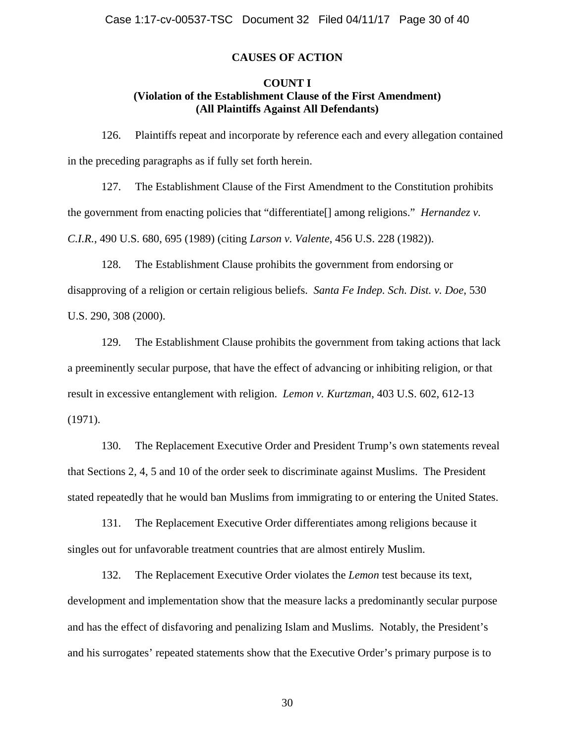## **CAUSES OF ACTION**

### **COUNT I (Violation of the Establishment Clause of the First Amendment) (All Plaintiffs Against All Defendants)**

126. Plaintiffs repeat and incorporate by reference each and every allegation contained in the preceding paragraphs as if fully set forth herein.

127. The Establishment Clause of the First Amendment to the Constitution prohibits the government from enacting policies that "differentiate[] among religions." *Hernandez v. C.I.R.*, 490 U.S. 680, 695 (1989) (citing *Larson v. Valente*, 456 U.S. 228 (1982)).

128. The Establishment Clause prohibits the government from endorsing or disapproving of a religion or certain religious beliefs. *Santa Fe Indep. Sch. Dist. v. Doe*, 530 U.S. 290, 308 (2000).

129. The Establishment Clause prohibits the government from taking actions that lack a preeminently secular purpose, that have the effect of advancing or inhibiting religion, or that result in excessive entanglement with religion. *Lemon v. Kurtzman*, 403 U.S. 602, 612-13 (1971).

130. The Replacement Executive Order and President Trump's own statements reveal that Sections 2, 4, 5 and 10 of the order seek to discriminate against Muslims. The President stated repeatedly that he would ban Muslims from immigrating to or entering the United States.

131. The Replacement Executive Order differentiates among religions because it singles out for unfavorable treatment countries that are almost entirely Muslim.

132. The Replacement Executive Order violates the *Lemon* test because its text, development and implementation show that the measure lacks a predominantly secular purpose and has the effect of disfavoring and penalizing Islam and Muslims. Notably, the President's and his surrogates' repeated statements show that the Executive Order's primary purpose is to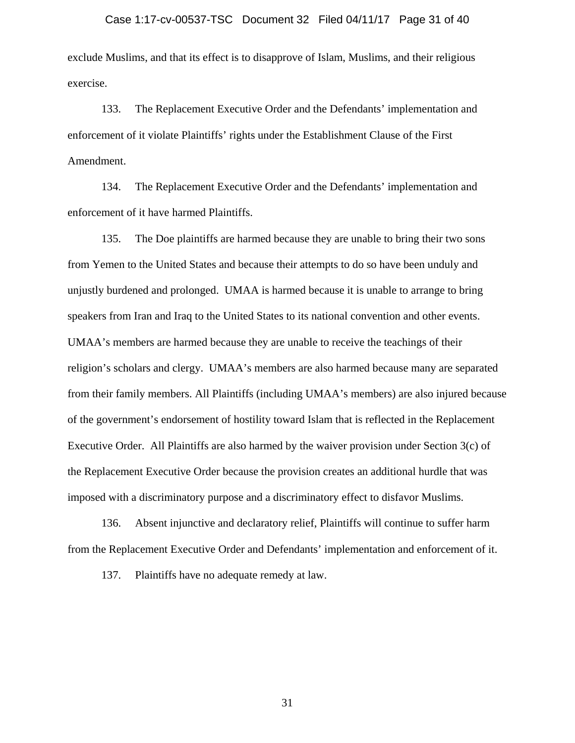#### Case 1:17-cv-00537-TSC Document 32 Filed 04/11/17 Page 31 of 40

exclude Muslims, and that its effect is to disapprove of Islam, Muslims, and their religious exercise.

133. The Replacement Executive Order and the Defendants' implementation and enforcement of it violate Plaintiffs' rights under the Establishment Clause of the First Amendment.

134. The Replacement Executive Order and the Defendants' implementation and enforcement of it have harmed Plaintiffs.

135. The Doe plaintiffs are harmed because they are unable to bring their two sons from Yemen to the United States and because their attempts to do so have been unduly and unjustly burdened and prolonged. UMAA is harmed because it is unable to arrange to bring speakers from Iran and Iraq to the United States to its national convention and other events. UMAA's members are harmed because they are unable to receive the teachings of their religion's scholars and clergy. UMAA's members are also harmed because many are separated from their family members. All Plaintiffs (including UMAA's members) are also injured because of the government's endorsement of hostility toward Islam that is reflected in the Replacement Executive Order. All Plaintiffs are also harmed by the waiver provision under Section 3(c) of the Replacement Executive Order because the provision creates an additional hurdle that was imposed with a discriminatory purpose and a discriminatory effect to disfavor Muslims.

136. Absent injunctive and declaratory relief, Plaintiffs will continue to suffer harm from the Replacement Executive Order and Defendants' implementation and enforcement of it.

137. Plaintiffs have no adequate remedy at law.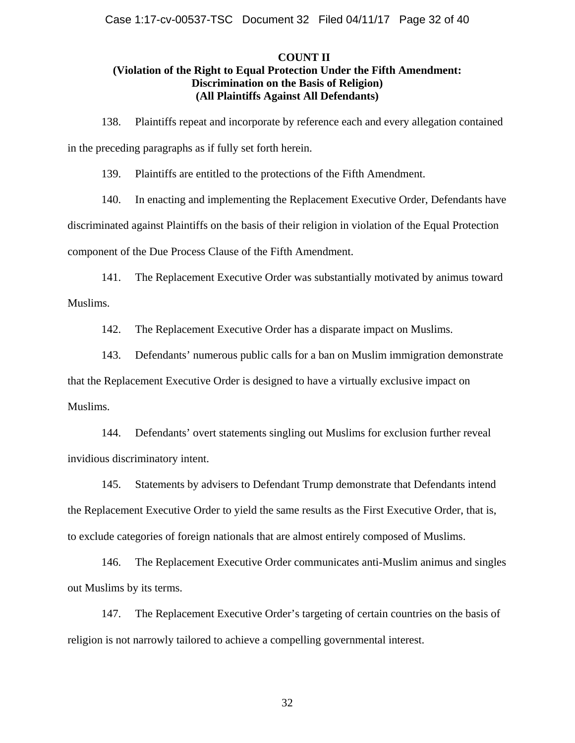## **COUNT II (Violation of the Right to Equal Protection Under the Fifth Amendment: Discrimination on the Basis of Religion) (All Plaintiffs Against All Defendants)**

138. Plaintiffs repeat and incorporate by reference each and every allegation contained in the preceding paragraphs as if fully set forth herein.

139. Plaintiffs are entitled to the protections of the Fifth Amendment.

140. In enacting and implementing the Replacement Executive Order, Defendants have

discriminated against Plaintiffs on the basis of their religion in violation of the Equal Protection

component of the Due Process Clause of the Fifth Amendment.

141. The Replacement Executive Order was substantially motivated by animus toward Muslims.

142. The Replacement Executive Order has a disparate impact on Muslims.

143. Defendants' numerous public calls for a ban on Muslim immigration demonstrate that the Replacement Executive Order is designed to have a virtually exclusive impact on Muslims.

144. Defendants' overt statements singling out Muslims for exclusion further reveal invidious discriminatory intent.

145. Statements by advisers to Defendant Trump demonstrate that Defendants intend the Replacement Executive Order to yield the same results as the First Executive Order, that is, to exclude categories of foreign nationals that are almost entirely composed of Muslims.

146. The Replacement Executive Order communicates anti-Muslim animus and singles out Muslims by its terms.

147. The Replacement Executive Order's targeting of certain countries on the basis of religion is not narrowly tailored to achieve a compelling governmental interest.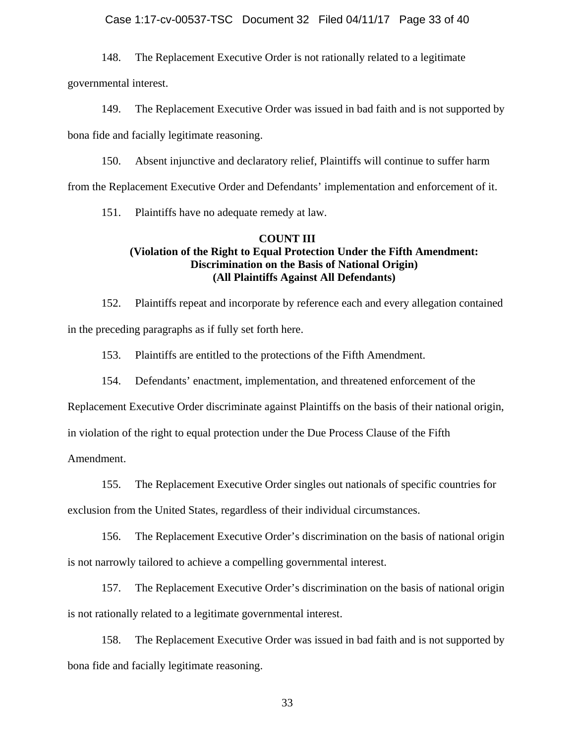#### Case 1:17-cv-00537-TSC Document 32 Filed 04/11/17 Page 33 of 40

148. The Replacement Executive Order is not rationally related to a legitimate

governmental interest.

149. The Replacement Executive Order was issued in bad faith and is not supported by

bona fide and facially legitimate reasoning.

150. Absent injunctive and declaratory relief, Plaintiffs will continue to suffer harm

from the Replacement Executive Order and Defendants' implementation and enforcement of it.

151. Plaintiffs have no adequate remedy at law.

# **COUNT III (Violation of the Right to Equal Protection Under the Fifth Amendment: Discrimination on the Basis of National Origin) (All Plaintiffs Against All Defendants)**

152. Plaintiffs repeat and incorporate by reference each and every allegation contained in the preceding paragraphs as if fully set forth here.

153. Plaintiffs are entitled to the protections of the Fifth Amendment.

154. Defendants' enactment, implementation, and threatened enforcement of the

Replacement Executive Order discriminate against Plaintiffs on the basis of their national origin,

in violation of the right to equal protection under the Due Process Clause of the Fifth

Amendment.

155. The Replacement Executive Order singles out nationals of specific countries for

exclusion from the United States, regardless of their individual circumstances.

156. The Replacement Executive Order's discrimination on the basis of national origin is not narrowly tailored to achieve a compelling governmental interest.

157. The Replacement Executive Order's discrimination on the basis of national origin is not rationally related to a legitimate governmental interest.

158. The Replacement Executive Order was issued in bad faith and is not supported by bona fide and facially legitimate reasoning.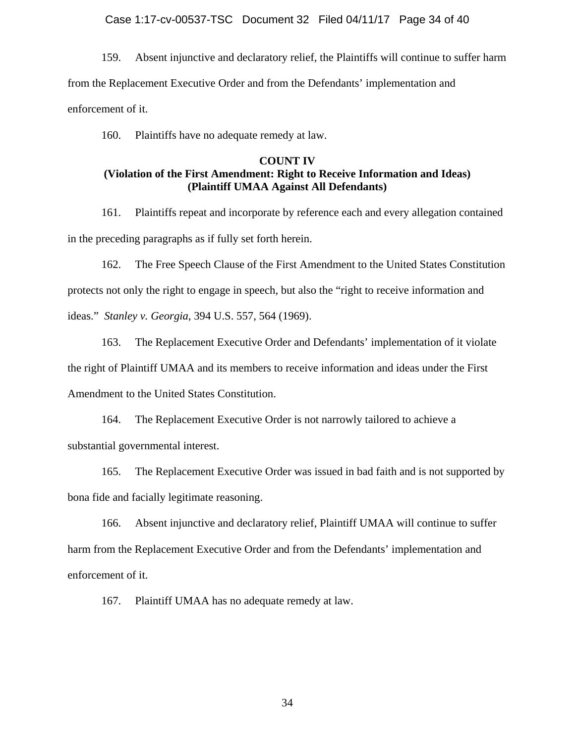#### Case 1:17-cv-00537-TSC Document 32 Filed 04/11/17 Page 34 of 40

159. Absent injunctive and declaratory relief, the Plaintiffs will continue to suffer harm from the Replacement Executive Order and from the Defendants' implementation and enforcement of it.

160. Plaintiffs have no adequate remedy at law.

## **COUNT IV (Violation of the First Amendment: Right to Receive Information and Ideas) (Plaintiff UMAA Against All Defendants)**

161. Plaintiffs repeat and incorporate by reference each and every allegation contained in the preceding paragraphs as if fully set forth herein.

162. The Free Speech Clause of the First Amendment to the United States Constitution protects not only the right to engage in speech, but also the "right to receive information and ideas." *Stanley v. Georgia*, 394 U.S. 557, 564 (1969).

163. The Replacement Executive Order and Defendants' implementation of it violate the right of Plaintiff UMAA and its members to receive information and ideas under the First Amendment to the United States Constitution.

164. The Replacement Executive Order is not narrowly tailored to achieve a substantial governmental interest.

165. The Replacement Executive Order was issued in bad faith and is not supported by bona fide and facially legitimate reasoning.

166. Absent injunctive and declaratory relief, Plaintiff UMAA will continue to suffer harm from the Replacement Executive Order and from the Defendants' implementation and enforcement of it.

167. Plaintiff UMAA has no adequate remedy at law.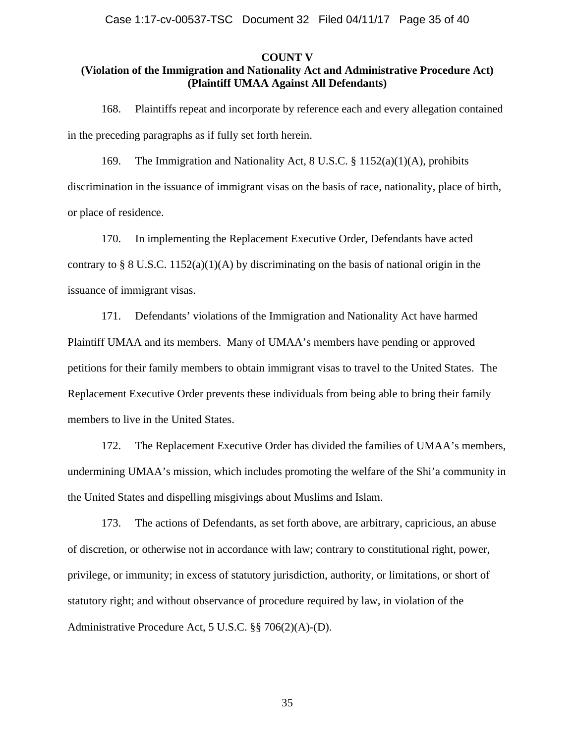Case 1:17-cv-00537-TSC Document 32 Filed 04/11/17 Page 35 of 40

#### **COUNT V**

# **(Violation of the Immigration and Nationality Act and Administrative Procedure Act) (Plaintiff UMAA Against All Defendants)**

168. Plaintiffs repeat and incorporate by reference each and every allegation contained in the preceding paragraphs as if fully set forth herein.

169. The Immigration and Nationality Act, 8 U.S.C. § 1152(a)(1)(A), prohibits discrimination in the issuance of immigrant visas on the basis of race, nationality, place of birth, or place of residence.

170. In implementing the Replacement Executive Order, Defendants have acted contrary to § 8 U.S.C. 1152(a)(1)(A) by discriminating on the basis of national origin in the issuance of immigrant visas.

171. Defendants' violations of the Immigration and Nationality Act have harmed Plaintiff UMAA and its members. Many of UMAA's members have pending or approved petitions for their family members to obtain immigrant visas to travel to the United States. The Replacement Executive Order prevents these individuals from being able to bring their family members to live in the United States.

172. The Replacement Executive Order has divided the families of UMAA's members, undermining UMAA's mission, which includes promoting the welfare of the Shi'a community in the United States and dispelling misgivings about Muslims and Islam.

173. The actions of Defendants, as set forth above, are arbitrary, capricious, an abuse of discretion, or otherwise not in accordance with law; contrary to constitutional right, power, privilege, or immunity; in excess of statutory jurisdiction, authority, or limitations, or short of statutory right; and without observance of procedure required by law, in violation of the Administrative Procedure Act, 5 U.S.C. §§ 706(2)(A)-(D).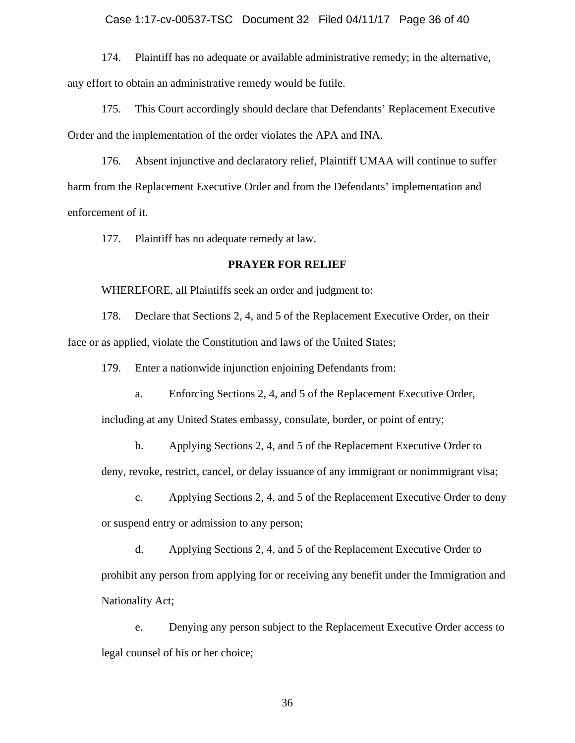#### Case 1:17-cv-00537-TSC Document 32 Filed 04/11/17 Page 36 of 40

174. Plaintiff has no adequate or available administrative remedy; in the alternative, any effort to obtain an administrative remedy would be futile.

175. This Court accordingly should declare that Defendants' Replacement Executive Order and the implementation of the order violates the APA and INA.

176. Absent injunctive and declaratory relief, Plaintiff UMAA will continue to suffer harm from the Replacement Executive Order and from the Defendants' implementation and enforcement of it.

177. Plaintiff has no adequate remedy at law.

### **PRAYER FOR RELIEF**

WHEREFORE, all Plaintiffs seek an order and judgment to:

178. Declare that Sections 2, 4, and 5 of the Replacement Executive Order, on their face or as applied, violate the Constitution and laws of the United States;

179. Enter a nationwide injunction enjoining Defendants from:

a. Enforcing Sections 2, 4, and 5 of the Replacement Executive Order,

including at any United States embassy, consulate, border, or point of entry;

b. Applying Sections 2, 4, and 5 of the Replacement Executive Order to

deny, revoke, restrict, cancel, or delay issuance of any immigrant or nonimmigrant visa;

c. Applying Sections 2, 4, and 5 of the Replacement Executive Order to deny or suspend entry or admission to any person;

d. Applying Sections 2, 4, and 5 of the Replacement Executive Order to prohibit any person from applying for or receiving any benefit under the Immigration and Nationality Act;

e. Denying any person subject to the Replacement Executive Order access to legal counsel of his or her choice;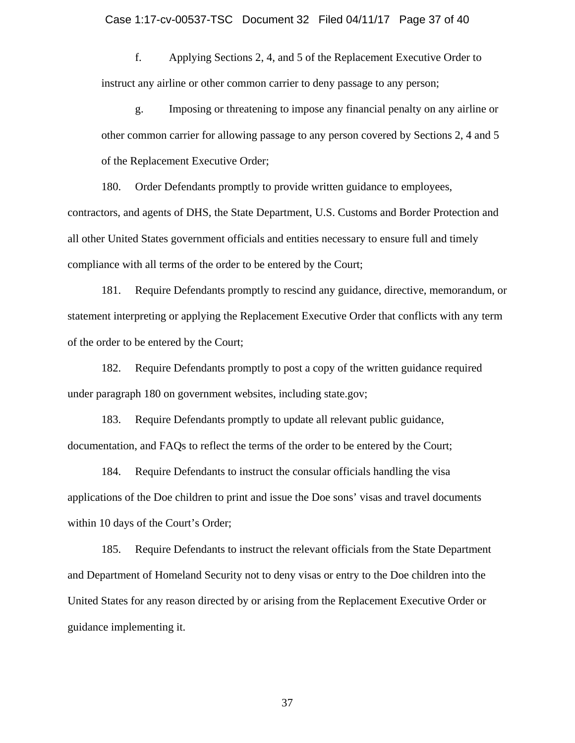f. Applying Sections 2, 4, and 5 of the Replacement Executive Order to instruct any airline or other common carrier to deny passage to any person;

g. Imposing or threatening to impose any financial penalty on any airline or other common carrier for allowing passage to any person covered by Sections 2, 4 and 5 of the Replacement Executive Order;

180. Order Defendants promptly to provide written guidance to employees, contractors, and agents of DHS, the State Department, U.S. Customs and Border Protection and all other United States government officials and entities necessary to ensure full and timely compliance with all terms of the order to be entered by the Court;

181. Require Defendants promptly to rescind any guidance, directive, memorandum, or statement interpreting or applying the Replacement Executive Order that conflicts with any term of the order to be entered by the Court;

182. Require Defendants promptly to post a copy of the written guidance required under paragraph 180 on government websites, including state.gov;

183. Require Defendants promptly to update all relevant public guidance, documentation, and FAQs to reflect the terms of the order to be entered by the Court;

184. Require Defendants to instruct the consular officials handling the visa applications of the Doe children to print and issue the Doe sons' visas and travel documents within 10 days of the Court's Order;

185. Require Defendants to instruct the relevant officials from the State Department and Department of Homeland Security not to deny visas or entry to the Doe children into the United States for any reason directed by or arising from the Replacement Executive Order or guidance implementing it.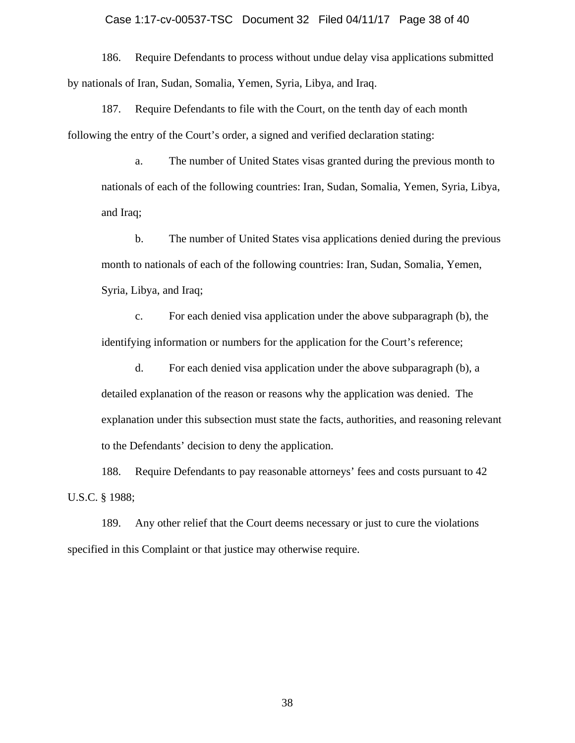#### Case 1:17-cv-00537-TSC Document 32 Filed 04/11/17 Page 38 of 40

186. Require Defendants to process without undue delay visa applications submitted by nationals of Iran, Sudan, Somalia, Yemen, Syria, Libya, and Iraq.

187. Require Defendants to file with the Court, on the tenth day of each month following the entry of the Court's order, a signed and verified declaration stating:

a. The number of United States visas granted during the previous month to nationals of each of the following countries: Iran, Sudan, Somalia, Yemen, Syria, Libya, and Iraq;

b. The number of United States visa applications denied during the previous month to nationals of each of the following countries: Iran, Sudan, Somalia, Yemen, Syria, Libya, and Iraq;

c. For each denied visa application under the above subparagraph (b), the identifying information or numbers for the application for the Court's reference;

d. For each denied visa application under the above subparagraph (b), a detailed explanation of the reason or reasons why the application was denied. The explanation under this subsection must state the facts, authorities, and reasoning relevant to the Defendants' decision to deny the application.

188. Require Defendants to pay reasonable attorneys' fees and costs pursuant to 42 U.S.C. § 1988;

189. Any other relief that the Court deems necessary or just to cure the violations specified in this Complaint or that justice may otherwise require.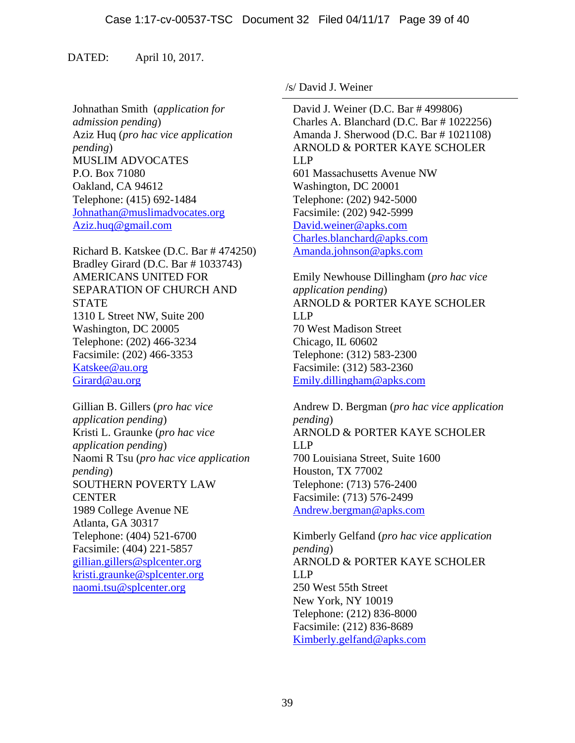## DATED: April 10, 2017.

Johnathan Smith (*application for admission pending*) Aziz Huq (*pro hac vice application pending*) MUSLIM ADVOCATES P.O. Box 71080 Oakland, CA 94612 Telephone: (415) 692-1484 Johnathan@muslimadvocates.org Aziz.huq@gmail.com

Richard B. Katskee (D.C. Bar # 474250) Bradley Girard (D.C. Bar # 1033743) AMERICANS UNITED FOR SEPARATION OF CHURCH AND **STATE** 1310 L Street NW, Suite 200 Washington, DC 20005 Telephone: (202) 466-3234 Facsimile: (202) 466-3353 Katskee@au.org Girard@au.org

Gillian B. Gillers (*pro hac vice application pending*) Kristi L. Graunke (*pro hac vice application pending*) Naomi R Tsu (*pro hac vice application pending*) SOUTHERN POVERTY LAW **CENTER** 1989 College Avenue NE Atlanta, GA 30317 Telephone: (404) 521-6700 Facsimile: (404) 221-5857 gillian.gillers@splcenter.org kristi.graunke@splcenter.org naomi.tsu@splcenter.org

/s/ David J. Weiner

 David J. Weiner (D.C. Bar # 499806) Charles A. Blanchard (D.C. Bar # 1022256) Amanda J. Sherwood (D.C. Bar # 1021108) ARNOLD & PORTER KAYE SCHOLER LLP 601 Massachusetts Avenue NW Washington, DC 20001 Telephone: (202) 942-5000 Facsimile: (202) 942-5999 David.weiner@apks.com Charles.blanchard@apks.com Amanda.johnson@apks.com

Emily Newhouse Dillingham (*pro hac vice application pending*) ARNOLD & PORTER KAYE SCHOLER LLP 70 West Madison Street Chicago, IL 60602 Telephone: (312) 583-2300 Facsimile: (312) 583-2360 Emily.dillingham@apks.com

Andrew D. Bergman (*pro hac vice application pending*) ARNOLD & PORTER KAYE SCHOLER LLP 700 Louisiana Street, Suite 1600 Houston, TX 77002 Telephone: (713) 576-2400 Facsimile: (713) 576-2499 Andrew.bergman@apks.com

Kimberly Gelfand (*pro hac vice application pending*) ARNOLD & PORTER KAYE SCHOLER LLP 250 West 55th Street New York, NY 10019 Telephone: (212) 836-8000 Facsimile: (212) 836-8689 Kimberly.gelfand@apks.com